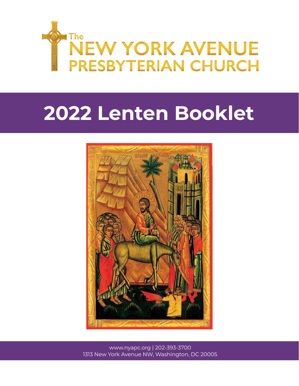

# **Lenten Booklet**



www.nyapc.org | 202-393-3700 New York Avenue NW, Washington, DC 20005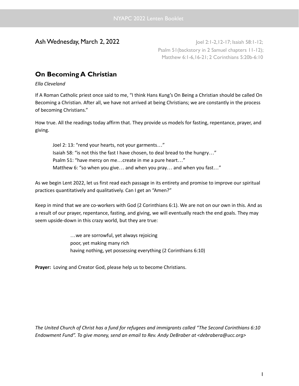Ash Wednesday, March 2, 2022 Joel 2:1-2, 12-17; Isaiah 58:1-12; Psalm 51(backstory in 2 Samuel chapters 11-12); Matthew 6:1-6,16-21; 2 Corinthians 5:20b-6:10

# **On Becoming A Christian**

*Ella Cleveland*

If A Roman Catholic priest once said to me, "I think Hans Kung's On Being a Christian should be called On Becoming a Christian. After all, we have not arrived at being Christians; we are constantly in the process of becoming Christians."

How true. All the readings today affirm that. They provide us models for fasting, repentance, prayer, and giving.

Joel 2: 13: "rend your hearts, not your garments…" Isaiah 58: "is not this the fast I have chosen, to deal bread to the hungry…" Psalm 51: "have mercy on me…create in me a pure heart…" Matthew 6: "so when you give... and when you pray... and when you fast..."

As we begin Lent 2022, let us first read each passage in its entirety and promise to improve our spiritual practices quantitatively and qualitatively. Can I get an "Amen?"

Keep in mind that we are co-workers with God (2 Corinthians 6:1). We are not on our own in this. And as a result of our prayer, repentance, fasting, and giving, we will eventually reach the end goals. They may seem upside-down in this crazy world, but they are true:

> …we are sorrowful, yet always rejoicing poor, yet making many rich having nothing, yet possessing everything (2 Corinthians 6:10)

**Prayer:** Loving and Creator God, please help us to become Christians.

*The United Church of Christ has a fund for refugees and immigrants called "The Second Corinthians 6:10 Endowment Fund". To give money, send an email to Rev. Andy DeBraber at <debrabera@ucc.org>*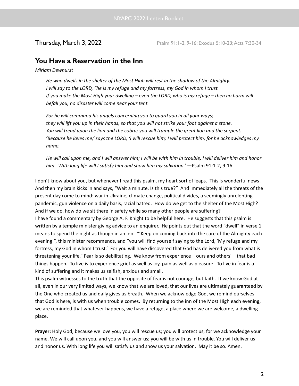**Thursday, March 3, 2022** Psalm 91:1-2, 9-16; Exodus 5:10-23; Acts 7:30-34

# **You Have a Reservation in the Inn**

*Miriam Dewhurst*

*He who dwells in the shelter of the Most High will rest in the shadow of the Almighty. I will say to the LORD, "he is my refuge and my fortress, my God in whom I trust.* If you make the Most High your dwelling - even the LORD, who is my refuge - then no harm will *befall you, no disaster will come near your tent.*

*For he will command his angels concerning you to guard you in all your ways;* they will lift you up in their hands, so that you will not strike your foot against a stone. *You will tread upon the lion and the cobra; you will trample the great lion and the serpent.* 'Because he loves me,' says the LORD, 'I will rescue him; I will protect him, for he acknowledges my *name.*

He will call upon me, and I will answer him; I will be with him in trouble, I will deliver him and honor *him. With long life will I satisfy him and show him my salvation.'* —Psalm 91:1-2, 9-16

I don't know about you, but whenever I read this psalm, my heart sort of leaps. This is wonderful news! And then my brain kicks in and says, "Wait a minute. Is this true?" And immediately all the threats of the present day come to mind: war in Ukraine, climate change, political divides, a seemingly unrelenting pandemic, gun violence on a daily basis, racial hatred. How do we get to the shelter of the Most High? And if we do, how do we sit there in safety while so many other people are suffering? I have found a commentary by George A. F. Knight to be helpful here. He suggests that this psalm is written by a temple minister giving advice to an enquirer. He points out that the word "dwell" in verse 1 means to spend the night as though in an inn. "'Keep on coming back into the care of the Almighty each evening'", this minister recommends, and "you will find yourself saying to the Lord, 'My refuge and my fortress, my God in whom I trust.' For you will have discovered that God has delivered you from what is threatening your life." Fear is so debilitating. We know from experience – ours and others' – that bad things happen. To live is to experience grief as well as joy, pain as well as pleasure. To live in fear is a kind of suffering and it makes us selfish, anxious and small.

This psalm witnesses to the truth that the opposite of fear is not courage, but faith. If we know God at all, even in our very limited ways, we know that we are loved, that our lives are ultimately guaranteed by the One who created us and daily gives us breath. When we acknowledge God, we remind ourselves that God is here, is with us when trouble comes. By returning to the inn of the Most High each evening, we are reminded that whatever happens, we have a refuge, a place where we are welcome, a dwelling place.

**Prayer:** Holy God, because we love you, you will rescue us; you will protect us, for we acknowledge your name. We will call upon you, and you will answer us; you will be with us in trouble. You will deliver us and honor us. With long life you will satisfy us and show us your salvation. May it be so. Amen.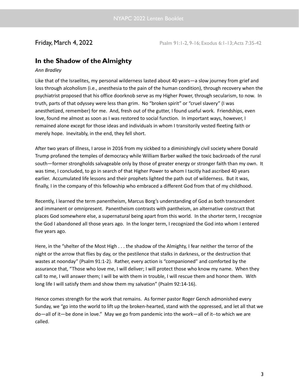**Friday, March 4, 2022** Psalm 91:1-2, 9-16; Exodus 6:1-13; Acts 7:35-42

# **In the Shadow of the Almighty**

### *Ann Bradley*

Like that of the Israelites, my personal wilderness lasted about 40 years—a slow journey from grief and loss through alcoholism (i.e., anesthesia to the pain of the human condition), through recovery when the psychiatrist proposed that his office doorknob serve as my Higher Power, through secularism, to now. In truth, parts of that odyssey were less than grim. No "broken spirit" or "cruel slavery" (I was anesthetized, remember) for me. And, fresh out of the gutter, I found useful work. Friendships, even love, found me almost as soon as I was restored to social function. In important ways, however, I remained alone except for those ideas and individuals in whom I transitorily vested fleeting faith or merely hope. Inevitably, in the end, they fell short.

After two years of illness, I arose in 2016 from my sickbed to a diminishingly civil society where Donald Trump profaned the temples of democracy while William Barber walked the toxic backroads of the rural south—former strongholds salvageable only by those of greater energy or stronger faith than my own. It was time, I concluded, to go in search of that Higher Power to whom I tacitly had ascribed 40 years earlier. Accumulated life lessons and their prophets lighted the path out of wilderness. But it was, finally, I in the company of this fellowship who embraced a different God from that of my childhood.

Recently, I learned the term panentheism, Marcus Borg's understanding of God as both transcendent and immanent or omnipresent. Panentheism contrasts with pantheism, an alternative construct that places God somewhere else, a supernatural being apart from this world. In the shorter term, I recognize the God I abandoned all those years ago. In the longer term, I recognized the God into whom I entered five years ago.

Here, in the "shelter of the Most High . . . the shadow of the Almighty, I fear neither the terror of the night or the arrow that flies by day, or the pestilence that stalks in darkness, or the destruction that wastes at noonday" (Psalm 91:1-2). Rather, every action is "companioned" and comforted by the assurance that, "Those who love me, I will deliver; I will protect those who know my name. When they call to me, I will answer them; I will be with them in trouble, I will rescue them and honor them. With long life I will satisfy them and show them my salvation" (Psalm 92:14-16).

Hence comes strength for the work that remains. As former pastor Roger Gench admonished every Sunday, we "go into the world to lift up the broken-hearted, stand with the oppressed, and let all that we do—all of it—be done in love." May we go from pandemic into the work—all of it--to which we are called.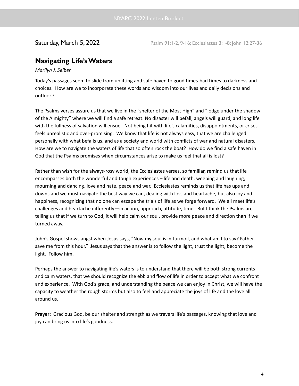**Saturday, March 5, 2022** Psalm 91:1-2, 9-16; Ecclesiastes 3:1-8; John 12:27-36

# **Navigating Life'sWaters**

### *Marilyn J. Seiber*

Today's passages seem to slide from uplifting and safe haven to good times-bad times to darkness and choices. How are we to incorporate these words and wisdom into our lives and daily decisions and outlook?

The Psalms verses assure us that we live in the "shelter of the Most High" and "lodge under the shadow of the Almighty" where we will find a safe retreat. No disaster will befall, angels will guard, and long life with the fullness of salvation will ensue. Not being hit with life's calamities, disappointments, or crises feels unrealistic and over-promising. We know that life is not always easy, that we are challenged personally with what befalls us, and as a society and world with conflicts of war and natural disasters. How are we to navigate the waters of life that so often rock the boat? How do we find a safe haven in God that the Psalms promises when circumstances arise to make us feel that all is lost?

Rather than wish for the always-rosy world, the Ecclesiastes verses, so familiar, remind us that life encompasses both the wonderful and tough experiences – life and death, weeping and laughing, mourning and dancing, love and hate, peace and war. Ecclesiastes reminds us that life has ups and downs and we must navigate the best way we can, dealing with loss and heartache, but also joy and happiness, recognizing that no one can escape the trials of life as we forge forward. We all meet life's challenges and heartache differently—in action, approach, attitude, time. But I think the Psalms are telling us that if we turn to God, it will help calm our soul, provide more peace and direction than if we turned away.

John's Gospel shows angst when Jesus says, "Now my soul is in turmoil, and what am I to say? Father save me from this hour." Jesus says that the answer is to follow the light, trust the light, become the light. Follow him.

Perhaps the answer to navigating life's waters is to understand that there will be both strong currents and calm waters, that we should recognize the ebb and flow of life in order to accept what we confront and experience. With God's grace, and understanding the peace we can enjoy in Christ, we will have the capacity to weather the rough storms but also to feel and appreciate the joys of life and the love all around us.

**Prayer:** Gracious God, be our shelter and strength as we travers life's passages, knowing that love and joy can bring us into life's goodness.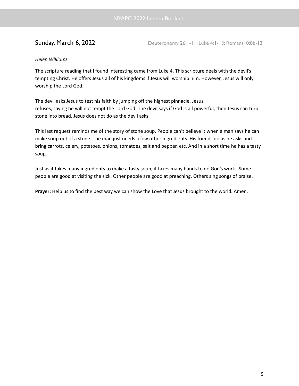**Sunday, March 6, 2022** Deuteronomy 26:1-11; Luke 4:1-13; Romans10:8b-13

### *Helen Williams*

The scripture reading that I found interesting came from Luke 4. This scripture deals with the devil's tempting Christ. He offers Jesus all of his kingdoms if Jesus will worship him. However, Jesus will only worship the Lord God.

The devil asks Jesus to test his faith by jumping off the highest pinnacle. Jesus refuses, saying he will not tempt the Lord God. The devil says if God is all powerful, then Jesus can turn stone into bread. Jesus does not do as the devil asks.

This last request reminds me of the story of stone soup. People can't believe it when a man says he can make soup out of a stone. The man just needs a few other ingredients. His friends do as he asks and bring carrots, celery, potatoes, onions, tomatoes, salt and pepper, etc. And in a short time he has a tasty soup.

Just as it takes many ingredients to make a tasty soup, it takes many hands to do God's work. Some people are good at visiting the sick. Other people are good at preaching. Others sing songs of praise.

**Prayer:** Help us to find the best way we can show the Love that Jesus brought to the world. Amen.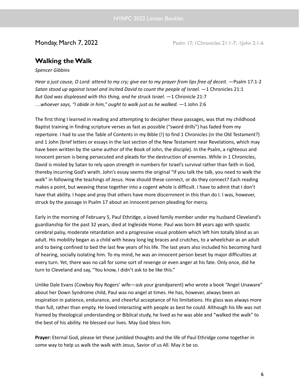**Monday, March 7, 2022** Psalm 17; 1Chronicles 21:1-7; 1John 2:1-6

# **Walking theWalk**

*Spencer Gibbins*

Hear a just cause, O Lord: attend to my cry; give ear to my prayer from lips free of deceit. - Psalm 17:1-2 *Satan stood up against Israel and incited David to count the people of Israel.* —1 Chronicles 21:1 *But God was displeased with this thing, and he struck Israel.* —1 Chronicle 21:7 *…whoever says, "I abide in him," ought to walk just as he walked.* —1 John 2:6

The first thing I learned in reading and attempting to decipher these passages, was that my childhood Baptist training in finding scripture verses as fast as possible ("sword drills") has faded from my repertoire. I had to use the Table of Contents in my Bible (!) to find 1 Chronicles (in the Old Testament?) and 1 John (brief letters or essays in the last section of the New Testament near Revelations, which may have been written by the same author of the Book of John, the disciple). In the Psalm, a righteous and innocent person is being persecuted and pleads for the destruction of enemies. While in 1 Chronicles, David is misled by Satan to rely upon strength in numbers for Israel's survival rather than faith in God, thereby incurring God's wrath. John's essay seems the original "If you talk the talk, you need to walk the walk" in following the teachings of Jesus. How should these connect, or do they connect? Each reading makes a point, but weaving these together into a cogent whole is difficult. I have to admit that I don't have that ability. I hope and pray that others have more discernment in this than do I. I was, however, struck by the passage in Psalm 17 about an innocent person pleading for mercy.

Early in the morning of February 5, Paul Ethridge, a loved family member under my husband Cleveland's guardianship for the past 32 years, died at Ingleside Home. Paul was born 84 years ago with spastic cerebral palsy, moderate retardation and a progressive visual problem which left him totally blind as an adult. His mobility began as a child with heavy long leg braces and crutches, to a wheelchair as an adult and to being confined to bed the last few years of his life. The last years also included his becoming hard of hearing, socially isolating him. To my mind, he was an innocent person beset by major difficulties at every turn. Yet, there was no call for some sort of revenge or even anger at his fate. Only once, did he turn to Cleveland and say, "You know, I didn't ask to be like this."

Unlike Dale Evans (Cowboy Roy Rogers' wife—ask your grandparent) who wrote a book "Angel Unaware" about her Down Syndrome child, Paul was no angel at times. He has, however, always been an inspiration in patience, endurance, and cheerful acceptance of his limitations. His glass was always more than full, rather than empty. He loved interacting with people as best he could. Although his life was not framed by theological understanding or Biblical study, he lived as he was able and "walked the walk" to the best of his ability. He blessed our lives. May God bless him.

**Prayer:** Eternal God, please let these jumbled thoughts and the life of Paul Ethridge come together in some way to help us walk the walk with Jesus, Savior of us All. May it be so.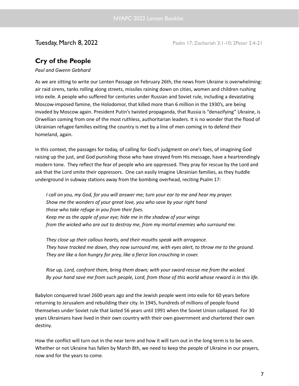**Tuesday, March 8, 2022** Psalm 17; Zechariah 3:1-10; 2Peter 2:4-21

# **Cry of the People**

### *Paul and Gwenn Gebhard*

As we are sitting to write our Lenten Passage on February 26th, the news from Ukraine is overwhelming: air raid sirens, tanks rolling along streets, missiles raining down on cities, women and children rushing into exile. A people who suffered for centuries under Russian and Soviet rule, including a devastating Moscow-imposed famine, the Holodomor, that killed more than 6 million in the 1930's, are being invaded by Moscow again. President Putin's twisted propaganda, that Russia is "denazifying" Ukraine, is Orwellian coming from one of the most ruthless, authoritarian leaders. It is no wonder that the flood of Ukrainian refugee families exiting the country is met by a line of men coming in to defend their homeland, again.

In this context, the passages for today, of calling for God's judgment on one's foes, of imagining God raising up the just, and God punishing those who have strayed from His message, have a heartrendingly modern tone. They reflect the fear of people who are oppressed. They pray for rescue by the Lord and ask that the Lord smite their oppressors. One can easily imagine Ukrainian families, as they huddle underground in subway stations away from the bombing overhead, reciting Psalm 17:

I call on you, my God, for you will answer me; turn your ear to me and hear my prayer. *Show me the wonders of your great love, you who save by your right hand those who take refuge in you from their foes. Keep me as the apple of your eye; hide me in the shadow of your wings from the wicked who are out to destroy me, from my mortal enemies who surround me.*

*They close up their callous hearts, and their mouths speak with arrogance. They have tracked me down, they now surround me, with eyes alert, to throw me to the ground. They are like a lion hungry for prey, like a fierce lion crouching in cover.*

*Rise up, Lord, confront them, bring them down; with your sword rescue me from the wicked.* By your hand save me from such people, Lord, from those of this world whose reward is in this life.

Babylon conquered Israel 2600 years ago and the Jewish people went into exile for 60 years before returning to Jerusalem and rebuilding their city. In 1945, hundreds of millions of people found themselves under Soviet rule that lasted 56 years until 1991 when the Soviet Union collapsed. For 30 years Ukrainians have lived in their own country with their own government and chartered their own destiny.

How the conflict will turn out in the near term and how it will turn out in the long term is to be seen. Whether or not Ukraine has fallen by March 8th, we need to keep the people of Ukraine in our prayers, now and for the years to come.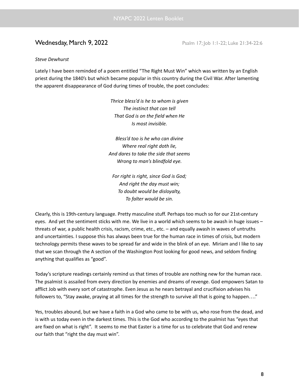# **Wednesday, March 9, 2022** Psalm 17; Job 1:1-22; Luke 21:34-22:6

### *Steve Dewhurst*

Lately I have been reminded of a poem entitled "The Right Must Win" which was written by an English priest during the 1840's but which became popular in this country during the Civil War. After lamenting the apparent disappearance of God during times of trouble, the poet concludes:

> *Thrice bless'd is he to whom is given The instinct that can tell That God is on the field when He Is most invisible.*

*Bless'd too is he who can divine Where real right doth lie, And dares to take the side that seems Wrong to man's blindfold eye.*

*For right is right, since God is God; And right the day must win; To doubt would be disloyalty, To falter would be sin.*

Clearly, this is 19th-century language. Pretty masculine stuff. Perhaps too much so for our 21st-century eyes. And yet the sentiment sticks with me. We live in a world which seems to be awash in huge issues – threats of war, a public health crisis, racism, crime, etc., etc. – and equally awash in waves of untruths and uncertainties. I suppose this has always been true for the human race in times of crisis, but modern technology permits these waves to be spread far and wide in the blink of an eye. Miriam and I like to say that we scan through the A section of the Washington Post looking for good news, and seldom finding anything that qualifies as "good".

Today's scripture readings certainly remind us that times of trouble are nothing new for the human race. The psalmist is assailed from every direction by enemies and dreams of revenge. God empowers Satan to afflict Job with every sort of catastrophe. Even Jesus as he nears betrayal and crucifixion advises his followers to, "Stay awake, praying at all times for the strength to survive all that is going to happen…."

Yes, troubles abound, but we have a faith in a God who came to be with us, who rose from the dead, and is with us today even in the darkest times. This is the God who according to the psalmist has "eyes that are fixed on what is right". It seems to me that Easter is a time for us to celebrate that God and renew our faith that "right the day must win".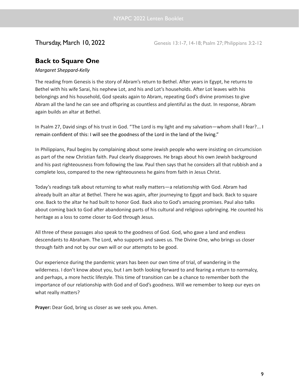**Thursday, March 10, 2022** Genesis 13:1-7, 14-18; Psalm 27; Philippians 3:2-12

# **Back to Square One**

### *Margaret Sheppard-Kelly*

The reading from Genesis is the story of Abram's return to Bethel. After years in Egypt, he returns to Bethel with his wife Sarai, his nephew Lot, and his and Lot's households. After Lot leaves with his belongings and his household, God speaks again to Abram, repeating God's divine promises to give Abram all the land he can see and offspring as countless and plentiful as the dust. In response, Abram again builds an altar at Bethel.

In Psalm 27, David sings of his trust in God. "The Lord is my light and my salvation—whom shall I fear?... I remain confident of this: I will see the goodness of the Lord in the land of the living."

In Philippians, Paul begins by complaining about some Jewish people who were insisting on circumcision as part of the new Christian faith. Paul clearly disapproves. He brags about his own Jewish background and his past righteousness from following the law. Paul then says that he considers all that rubbish and a complete loss, compared to the new righteousness he gains from faith in Jesus Christ.

Today's readings talk about returning to what really matters—a relationship with God. Abram had already built an altar at Bethel. There he was again, after journeying to Egypt and back. Back to square one. Back to the altar he had built to honor God. Back also to God's amazing promises. Paul also talks about coming back to God after abandoning parts of his cultural and religious upbringing. He counted his heritage as a loss to come closer to God through Jesus.

All three of these passages also speak to the goodness of God. God, who gave a land and endless descendants to Abraham. The Lord, who supports and saves us. The Divine One, who brings us closer through faith and not by our own will or our attempts to be good.

Our experience during the pandemic years has been our own time of trial, of wandering in the wilderness. I don't know about you, but I am both looking forward to and fearing a return to normalcy, and perhaps, a more hectic lifestyle. This time of transition can be a chance to remember both the importance of our relationship with God and of God's goodness. Will we remember to keep our eyes on what really matters?

**Prayer:** Dear God, bring us closer as we seek you. Amen.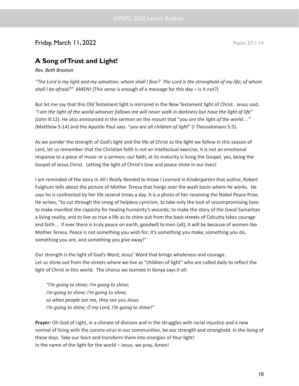# **Friday, March 11, 2022** Psalm 27:1-14

# **A Song ofTrust and Light!**

*Rev. Beth Braxton*

"The Lord is my light and my salvation; whom shall I fear? The Lord is the stronghold of my life; of whom *shall I be afraid?"* AMEN! (This verse is enough of a message for this day – is it not?)

But let me say that this Old Testament light is mirrored in the New Testament light of Christ. Jesus said, "I am the light of the world whoever follows me will never walk in darkness but have the light of life" (John 8:12). He also announced in the sermon on the mount that "*you are the light of the world…"* (Matthew 5:14) and the Apostle Paul says. "*you are all children of light*" (I Thessalonians 5:5).

As we ponder the strength of God's light and the life of Christ as the light we follow in this season of Lent, let us remember that the Christian faith is not an intellectual exercise, it is not an emotional response to a piece of music or a sermon; our faith, at its maturity is living the Gospel, yes, being the Gospel of Jesus Christ. Letting the light of Christ's love and peace shine in our lives!

I am reminded of the story in *All I Really Needed to Know I Learned in Kindergarten* that author, Robert Fulghum tells about the picture of Mother Teresa that hangs over the wash basin where he works. He says he is confronted by her life several times a day. It is a photo of her receiving the Nobel Peace Prize. He writes, "to cut through the smog of helpless cynicism, to take only the tool of uncompromising love; to make manifest the capacity for healing humanity's wounds; to make the story of the Good Samaritan a living reality; and to live so true a life as to shine out from the back streets of Calcutta takes courage and faith… If ever there is truly peace on earth, goodwill to men (all), it will be because of women like Mother Teresa. Peace is not something you wish for; it's something you make, something you do, something you are, and something you give away!"

Our strength is the light of God's Word, Jesus' Word that brings wholeness and courage. Let us shine out from the streets where we live as "children of light" who are called daily to reflect the light of Christ in this world. The chorus we learned in Kenya says it all:

*"I'm going to shine; I'm going to shine; I'm going to shine; I'm going to shine, so when people see me, they see you Jesus. I'm going to shine; O my Lord, I'm going to shine!"*

**Prayer:** Oh God of Light, in a climate of division and in the struggles with racial injustice and a new normal of living with the corona virus in our communities, be our strength and stronghold in the living of these days. Take our fears and transform them into energies of Your light! In the name of the light for the world – Jesus, we pray, Amen!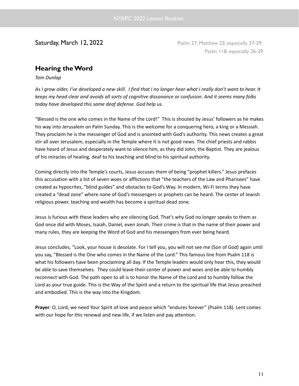Saturday, March 12, 2022 **Posalm 27; Matthew 23, especially 37-39;** Psalm 27; Matthew 23, especially 37-39; Psalm 118, especially 26-29

# **Hearing theWord**

*Tom Dunlap*

As I grow older, I've developed a new skill. I find that I no longer hear what I really don't want to hear. It keeps my head clear and avoids all sorts of cognitive dissonance or confusion. And it seems many folks *today have developed this same deaf defense. God help us.*

"Blessed is the one who comes in the Name of the Lord!" This is shouted by Jesus' followers as he makes his way into Jerusalem on Palm Sunday. This is the welcome for a conquering hero, a king or a Messiah. They proclaim he is the messenger of God and is anointed with God's authority. This news creates a great stir all over Jerusalem, especially in the Temple where it is not good news. The chief priests and rabbis have heard of Jesus and desperately want to silence him, as they did John, the Baptist. They are jealous of his miracles of healing, deaf to his teaching and blind to his spiritual authority.

Coming directly into the Temple's courts, Jesus accuses them of being "prophet killers." Jesus prefaces this accusation with a list of seven woes or afflictions that "the teachers of the Law and Pharisees" have created as hypocrites, "blind guides" and obstacles to God's Way. In modern, Wi-Fi terms they have created a "dead zone" where none of God's messengers or prophets can be heard. The center of Jewish religious power, teaching and wealth has become a spiritual dead zone.

Jesus is furious with these leaders who are silencing God. That's why God no longer speaks to them as God once did with Moses, Isaiah, Daniel, even Jonah. Their crime is that in the name of their power and many rules, they are keeping the Word of God and his messengers from ever being heard.

Jesus concludes, "Look, your house is desolate. For I tell you, you will not see me (Son of God) again until you say, "Blessed is the One who comes in the Name of the Lord." This famous line from Psalm 118 is what his followers have been proclaiming all day. If the Temple leaders would only hear this, they would be able to save themselves. They could leave their center of power and woes and be able to humbly reconnect with God. The path open to all is to honor the Name of the Lord and to humbly follow the Lord as your true guide. This is the Way of the Spirit and a return to the spiritual life that Jesus preached and embodied. This is the way into the Kingdom.

**Prayer**: O, Lord, we need Your Spirit of love and peace which "endures forever" (Psalm 118). Lent comes with our hope for this renewal and new life, if we listen and pay attention.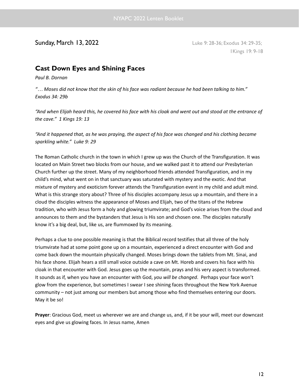# **Sunday, March 13, 2022** Luke 9: 28-36; Exodus 34: 29-35;

1Kings 19: 9-18

# **Cast Down Eyes and Shining Faces**

*Paul B. Dornan*

"... Moses did not know that the skin of his face was radiant because he had been talking to him." *Exodus 34: 29b*

"And when Elijah heard this, he covered his face with his cloak and went out and stood at the entrance of *the cave." 1 Kings 19: 13*

"And it happened that, as he was praying, the aspect of his face was changed and his clothing became *sparkling white." Luke 9: 29*

The Roman Catholic church in the town in which I grew up was the Church of the Transfiguration. It was located on Main Street two blocks from our house, and we walked past it to attend our Presbyterian Church further up the street. Many of my neighborhood friends attended Transfiguration, and in my child's mind, what went on in that sanctuary was saturated with mystery and the exotic. And that mixture of mystery and exoticism forever attends the Transfiguration event in my child and adult mind. What is this strange story about? Three of his disciples accompany Jesus up a mountain, and there in a cloud the disciples witness the appearance of Moses and Elijah, two of the titans of the Hebrew tradition, who with Jesus form a holy and glowing triumvirate; and God's voice arises from the cloud and announces to them and the bystanders that Jesus is His son and chosen one. The disciples naturally know it's a big deal, but, like us, are flummoxed by its meaning.

Perhaps a clue to one possible meaning is that the Biblical record testifies that all three of the holy triumvirate had at some point gone up on a mountain, experienced a direct encounter with God and come back down the mountain physically changed. Moses brings down the tablets from Mt. Sinai, and his face shone. Elijah hears a still small voice outside a cave on Mt. Horeb and covers his face with his cloak in that encounter with God. Jesus goes up the mountain, prays and his very aspect is transformed. It sounds as if, when you have an encounter with God, *you will be changed*. Perhaps your face won't glow from the experience, but sometimes I swear I see shining faces throughout the New York Avenue community – not just among our members but among those who find themselves entering our doors. May it be so!

**Prayer**: Gracious God, meet us wherever we are and change us, and, if it be your will, meet our downcast eyes and give us glowing faces. In Jesus name, Amen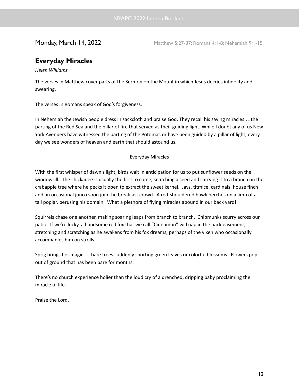**Monday, March 14, 2022** Matthew 5:27-37; Romans 4:1-8; Nehemiah 9:1-15

# **Everyday Miracles**

*Helen Williams*

The verses in Matthew cover parts of the Sermon on the Mount in which Jesus decries infidelity and swearing.

The verses in Romans speak of God's forgiveness.

In Nehemiah the Jewish people dress in sackcloth and praise God. They recall his saving miracles …the parting of the Red Sea and the pillar of fire that served as their guiding light. While I doubt any of us New York Avenuers have witnessed the parting of the Potomac or have been guided by a pillar of light, every day we see wonders of heaven and earth that should astound us.

### Everyday Miracles

With the first whisper of dawn's light, birds wait in anticipation for us to put sunflower seeds on the windowsill. The chickadee is usually the first to come, snatching a seed and carrying it to a branch on the crabapple tree where he pecks it open to extract the sweet kernel. Jays, titmice, cardinals, house finch and an occasional junco soon join the breakfast crowd. A red-shouldered hawk perches on a limb of a tall poplar, perusing his domain. What a plethora of flying miracles abound in our back yard!

Squirrels chase one another, making soaring leaps from branch to branch. Chipmunks scurry across our patio. If we're lucky, a handsome red fox that we call "Cinnamon" will nap in the back easement, stretching and scratching as he awakens from his fox dreams, perhaps of the vixen who occasionally accompanies him on strolls.

Sprig brings her magic … bare trees suddenly sporting green leaves or colorful blossoms. Flowers pop out of ground that has been bare for months.

There's no church experience holier than the loud cry of a drenched, dripping baby proclaiming the miracle of life.

Praise the Lord.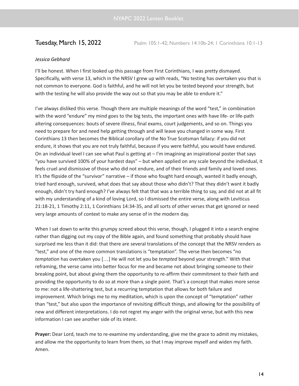### *Jessica Gebhard*

I'll be honest. When I first looked up this passage from First Corinthians, I was pretty dismayed. Specifically, with verse 13, which in the NRSV I grew up with reads, "No testing has overtaken you that is not common to everyone. God is faithful, and he will not let you be tested beyond your strength, but with the testing he will also provide the way out so that you may be able to endure it."

I've always disliked this verse. Though there are multiple meanings of the word "test," in combination with the word "endure" my mind goes to the big tests, the important ones with have life- or life-path altering consequences: bouts of severe illness, final exams, court judgements, and so on. Things you need to prepare for and need help getting through and will leave you changed in some way. First Corinthians 13 then becomes the Biblical corollary of the No True Scotsman fallacy: if you did not endure, it shows that you are not truly faithful, because if you were faithful, you would have endured. On an individual level I can see what Paul is getting at – I'm imagining an inspirational poster that says "you have survived 100% of your hardest days" – but when applied on any scale beyond the individual, it feels cruel and dismissive of those who did not endure, and of their friends and family and loved ones. It's the flipside of the "survivor" narrative – if those who fought hard enough, wanted it badly enough, tried hard enough, survived, what does that say about those who didn't? That they didn't want it badly enough, didn't try hard enough? I've always felt that that was a terrible thing to say, and did not at all fit with my understanding of a kind of loving Lord, so I dismissed the entire verse, along with Leviticus 21:18-21, 1 Timothy 2:11, 1 Corinthians 14:34-35, and all sorts of other verses that get ignored or need very large amounts of context to make any sense of in the modern day.

When I sat down to write this grumpy screed about this verse, though, I plugged it into a search engine rather than digging out my copy of the Bible again, and found something that probably should have surprised me less than it did: that there are several translations of the concept that the NRSV renders as "test," and one of the more common translations is "temptation". The verse then becomes "no *temptation* has overtaken you […] He will not let you be *tempted* beyond your strength." With that reframing, the verse came into better focus for me and became not about bringing someone to their breaking point, but about giving them the opportunity to re-affirm their commitment to their faith and providing the opportunity to do so at more than a single point. That's a concept that makes more sense to me: not a life-shattering test, but a recurring temptation that allows for both failure and improvement. Which brings me to my meditation, which is upon the concept of "temptation" rather than "test," but also upon the importance of revisiting difficult things, and allowing for the possibility of new and different interpretations. I do not regret my anger with the original verse, but with this new information I can see another side of its intent.

**Prayer:** Dear Lord, teach me to re-examine my understanding, give me the grace to admit my mistakes, and allow me the opportunity to learn from them, so that I may improve myself and widen my faith. Amen.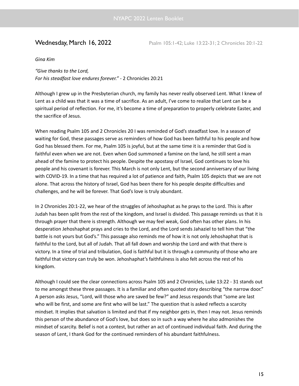### *Gina Kim*

*"Give thanks to the Lord, For his steadfast love endures forever."* - 2 Chronicles 20:21

Although I grew up in the Presbyterian church, my family has never really observed Lent. What I knew of Lent as a child was that it was a time of sacrifice. As an adult, I've come to realize that Lent can be a spiritual period of reflection. For me, it's become a time of preparation to properly celebrate Easter, and the sacrifice of Jesus.

When reading Psalm 105 and 2 Chronicles 20 I was reminded of God's steadfast love. In a season of waiting for God, these passages serve as reminders of how God has been faithful to his people and how God has blessed them. For me, Psalm 105 is joyful, but at the same time it is a reminder that God is faithful even when we are not. Even when God summoned a famine on the land, he still sent a man ahead of the famine to protect his people. Despite the apostasy of Israel, God continues to love his people and his covenant is forever. This March is not only Lent, but the second anniversary of our living with COVID-19. In a time that has required a lot of patience and faith, Psalm 105 depicts that we are not alone. That across the history of Israel, God has been there for his people despite difficulties and challenges, and he will be forever. That God's love is truly abundant.

In 2 Chronicles 20:1-22, we hear of the struggles of Jehoshaphat as he prays to the Lord. This is after Judah has been split from the rest of the kingdom, and Israel is divided. This passage reminds us that it is through prayer that there is strength. Although we may feel weak, God often has other plans. In his desperation Jehoshaphat prays and cries to the Lord, and the Lord sends Jahaziel to tell him that "the battle is not yours but God's." This passage also reminds me of how it is not only Jehoshaphat that is faithful to the Lord, but all of Judah. That all fall down and worship the Lord and with that there is victory. In a time of trial and tribulation, God is faithful but it is through a community of those who are faithful that victory can truly be won. Jehoshaphat's faithfulness is also felt across the rest of his kingdom.

Although I could see the clear connections across Psalm 105 and 2 Chronicles, Luke 13:22 - 31 stands out to me amongst these three passages. It is a familiar and often quoted story describing "the narrow door." A person asks Jesus, "Lord, will those who are saved be few?" and Jesus responds that "some are last who will be first, and some are first who will be last." The question that is asked reflects a scarcity mindset. It implies that salvation is limited and that if my neighbor gets in, then I may not. Jesus reminds this person of the abundance of God's love, but does so in such a way where he also admonishes the mindset of scarcity. Belief is not a contest, but rather an act of continued individual faith. And during the season of Lent, I thank God for the continued reminders of his abundant faithfulness.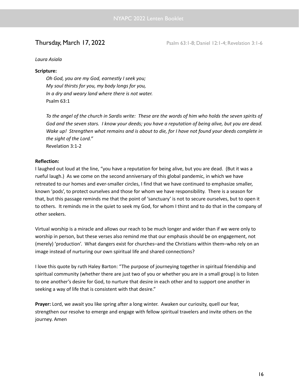**Thursday, March 17, 2022** Psalm 63:1-8; Daniel 12:1-4; Revelation 3:1-6

### *Laura Asiala*

### **Scripture:**

*Oh God, you are my God, earnestly I seek you; My soul thirsts for you, my body longs for you, In a dry and weary land where there is not water.* Psalm 63:1

To the angel of the church in Sardis write: These are the words of him who holds the seven spirits of God and the seven stars. I know your deeds; you have a reputation of being alive, but you are dead. Wake up! Strengthen what remains and is about to die, for I have not found your deeds complete in *the sight of the Lord."* Revelation 3:1-2

### **Reflection:**

I laughed out loud at the line, "you have a reputation for being alive, but you are dead. (But it was a rueful laugh.) As we come on the second anniversary of this global pandemic, in which we have retreated to our homes and ever-smaller circles, I find that we have continued to emphasize smaller, known 'pods', to protect ourselves and those for whom we have responsibility. There is a season for that, but this passage reminds me that the point of 'sanctuary' is not to secure ourselves, but to open it to others. It reminds me in the quiet to seek my God, for whom I thirst and to do that in the company of other seekers.

Virtual worship is a miracle and allows our reach to be much longer and wider than if we were only to worship in person, but these verses also remind me that our emphasis should be on engagement, not (merely) 'production'. What dangers exist for churches–and the Christians within them–who rely on an image instead of nurturing our own spiritual life and shared connections?

I love this quote by ruth Haley Barton: "The purpose of journeying together in spiritual friendship and spiritual community (whether there are just two of you or whether you are in a small group) is to listen to one another's desire for God, to nurture that desire in each other and to support one another in seeking a way of life that is consistent with that desire."

**Prayer:** Lord, we await you like spring after a long winter. Awaken our curiosity, quell our fear, strengthen our resolve to emerge and engage with fellow spiritual travelers and invite others on the journey. Amen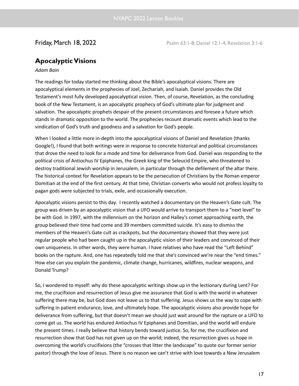# **ApocalypticVisions**

### *Adam Bain*

The readings for today started me thinking about the Bible's apocalyptical visions. There are apocalyptical elements in the prophecies of Joel, Zechariah, and Isaiah. Daniel provides the Old Testament's most fully developed apocalyptical vision. Then, of course, Revelation, as the concluding book of the New Testament, is an apocalyptic prophecy of God's ultimate plan for judgment and salvation. The apocalyptic prophets despair of the present circumstances and foresee a future which stands in dramatic opposition to the world. The prophecies recount dramatic events which lead to the vindication of God's truth and goodness and a salvation for God's people.

When I looked a little more in-depth into the apocalyptical visions of Daniel and Revelation (thanks Google!), I found that both writings were in response to concrete historical and political circumstances that drove the need to look for a mode and time for deliverance from God. Daniel was responding to the political crisis of Antiochus IV Epiphanes, the Greek king of the Seleucid Empire, who threatened to destroy traditional Jewish worship in Jerusalem, in particular through the defilement of the altar there. The historical context for Revelation appears to be the persecution of Christians by the Roman emperor Domitian at the end of the first century. At that time, Christian converts who would not profess loyalty to pagan gods were subjected to trials, exile, and occasionally execution.

Apocalyptic visions persist to this day. I recently watched a documentary on the Heaven's Gate cult. The group was driven by an apocalyptic vision that a UFO would arrive to transport them to a "next level" to be with God. In 1997, with the millennium on the horizon and Halley's comet approaching earth, the group believed their time had come and 39 members committed suicide. It's easy to dismiss the members of the Heaven's Gate cult as crackpots, but the documentary showed that they were just regular people who had been caught up in the apocalyptic vision of their leaders and convinced of their own uniqueness. In other words, they were human. I have relatives who have read the "Left Behind" books on the rapture. And, one has repeatedly told me that she's convinced we're near the "end times." How else can you explain the pandemic, climate change, hurricanes, wildfires, nuclear weapons, and Donald Trump?

So, I wondered to myself: why do these apocalyptic writings show up in the lectionary during Lent? For me, the crucifixion and resurrection of Jesus give me assurance that God is with the world in whatever suffering there may be, but God does not leave us to that suffering. Jesus shows us the way to cope with suffering in patient endurance, love, and ultimately hope. The apocalyptic visions also provide hope for deliverance from suffering, but that doesn't mean we should just wait around for the rapture or a UFO to come get us. The world has endured Antiochus IV Epiphanes and Domitian, and the world will endure the present times. I really believe that history bends toward justice. So, for me, the crucifixion and resurrection show that God has not given up on the world; indeed, the resurrection gives us hope in overcoming the world's crucifixions (the "crosses that litter the landscape" to quote our former senior pastor) through the love of Jesus. There is no reason we can't strive with love towards a New Jerusalem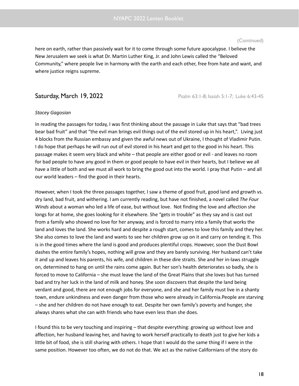here on earth, rather than passively wait for it to come through some future apocalypse. I believe the New Jerusalem we seek is what Dr. Martin Luther King, Jr. and John Lewis called the "Beloved Community," where people live in harmony with the earth and each other, free from hate and want, and where justice reigns supreme.

**Saturday, March 19, 2022 Psalm 63:1-8; Isaiah 5:1-7; Luke 6:43-45** 

### *Stacey Gagosian*

In reading the passages for today, I was first thinking about the passage in Luke that says that "bad trees bear bad fruit" and that "the evil man brings evil things out of the evil stored up in his heart,". Living just 4 blocks from the Russian embassy and given the awful news out of Ukraine, I thought of Vladimir Putin. I do hope that perhaps he will run out of evil stored in his heart and get to the good in his heart. This passage makes it seem very black and white – that people are either good or evil - and leaves no room for bad people to have any good in them or good people to have evil in their hearts, but I believe we all have a little of both and we must all work to bring the good out into the world. I pray that Putin – and all our world leaders – find the good in their hearts.

However, when I took the three passages together, I saw a theme of good fruit, good land and growth vs. dry land, bad fruit, and withering. I am currently reading, but have not finished, a novel called *The Four Winds* about a woman who led a life of ease, but without love. Not finding the love and affection she longs for at home, she goes looking for it elsewhere. She "gets in trouble" as they say and is cast out from a family who showed no love for her anyway, and is forced to marry into a family that works the land and loves the land. She works hard and despite a rough start, comes to love this family and they her. She also comes to love the land and wants to see her children grow up on it and carry on tending it. This is in the good times where the land is good and produces plentiful crops. However, soon the Dust Bowl dashes the entire family's hopes, nothing will grow and they are barely surviving. Her husband can't take it and up and leaves his parents, his wife, and children in these dire straits. She and her in-laws struggle on, determined to hang on until the rains come again. But her son's health deteriorates so badly, she is forced to move to California – she must leave the land of the Great Plains that she loves but has turned bad and try her luck in the land of milk and honey. She soon discovers that despite the land being verdant and good, there are not enough jobs for everyone, and she and her family must live in a shanty town, endure unkindness and even danger from those who were already in California.People are starving – she and her children do not have enough to eat. Despite her own family's poverty and hunger, she always shares what she can with friends who have even less than she does.

I found this to be very touching and inspiring – that despite everything: growing up without love and affection, her husband leaving her, and having to work herself practically to death just to give her kids a little bit of food, she is still sharing with others. I hope that I would do the same thing if I were in the same position. However too often, we do not do that. We act as the native Californians of the story do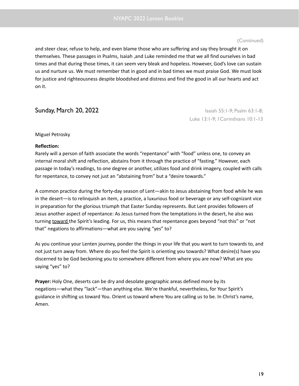and steer clear, refuse to help, and even blame those who are suffering and say they brought it on themselves. These passages in Psalms, Isaiah ,and Luke reminded me that we all find ourselves in bad times and that during those times, it can seem very bleak and hopeless. However, God's love can sustain us and nurture us. We must remember that in good and in bad times we must praise God. We must look for justice and righteousness despite bloodshed and distress and find the good in all our hearts and act on it.

# **Sunday, March 20, 2022 Isaiah 55:1-9; Psalm 63:1-8; Isaiah 55:1-9; Psalm 63:1-8;**

Luke 13:1-9; 1Corinthians 10:1-13

### Miguel Petrosky

### **Reflection:**

Rarely will a person of faith associate the words "repentance" with "food" unless one, to convey an internal moral shift and reflection, abstains from it through the practice of "fasting." However, each passage in today's readings, to one degree or another, utilizes food and drink imagery, coupled with calls for repentance, to convey not just an "abstaining from" but a "desire towards."

A common practice during the forty-day season of Lent—akin to Jesus abstaining from food while he was in the desert—is to relinquish an item, a practice, a luxurious food or beverage or any self-cognizant vice in preparation for the glorious triumph that Easter Sunday represents. But Lent provides followers of Jesus another aspect of repentance: As Jesus turned from the temptations in the desert, he also was turning toward the Spirit's leading. For us, this means that repentance goes beyond "not this" or "not that" negations to affirmations—what are you saying "yes" to?

As you continue your Lenten journey, ponder the things in your life that you want to turn towards to, and not just turn away from. Where do you feel the Spirit is orienting you towards? What desire(s) have you discerned to be God beckoning you to somewhere different from where you are now? What are you saying "yes" to?

**Prayer:** Holy One, deserts can be dry and desolate geographic areas defined more by its negations—what they "lack"—than anything else. We're thankful, nevertheless, for Your Spirit's guidance in shifting us toward You. Orient us toward where You are calling us to be. In Christ's name, Amen.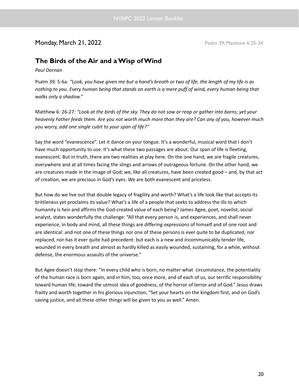# Monday, March 21, 2022 **Posalm 39; Matthew 6:25-34**

# **The Birds of the Air and aWisp ofWind**

*Paul Dornan*

Psalm 39: 5-6a: "Look, you have given me but a hand's breath or two of life, the length of my life is as nothing to you. Every human being that stands on earth is a mere puff of wind, every human being that *walks only a shadow."*

Matthew 6: 26-27: "Look at the birds of the sky. They do not sow or reap or gather into barns; yet your heavenly Father feeds them. Are you not worth much more than they are? Can any of you, however much *you worry, add one single cubit to your span of life?"*

Say the word "evanescence". Let it dance on your tongue. It's a wonderful, musical word that I don't have much opportunity to use. It's what these two passages are about. Our span of life is fleeting, evanescent. But in truth, there are two realities at play here. On the one hand, we are fragile creatures, everywhere and at all times facing the slings and arrows of outrageous fortune. On the other hand, we are creatures made in the image of God; we, like all creatures, have been created good – and, by that act of creation, we are precious in God's eyes. We are both evanescent and priceless.

But how do we live out that double legacy of fragility and worth? What's a life look like that accepts its brittleness yet proclaims its value? What's a life of a people that seeks to address the ills to which humanity is heir and affirms the God-created value of each being? James Agee, poet, novelist, social analyst, states wonderfully the challenge: "All that every person is, and experiences, and shall never experience, in body and mind, all these things are differing expressions of himself and of one root and are identical: and not one of these things nor one of these persons is ever quite to be duplicated, nor replaced, nor has it ever quite had precedent: but each is a new and incommunicably tender life, wounded in every breath and almost as hardly killed as easily wounded, sustaining, for a while, without defense, the enormous assaults of the universe."

But Agee doesn't stop there: "In every child who is born, no matter what circumstance, the potentiality of the human race is born again, and in him, too, once more, and of each of us, our terrific responsibility toward human life; toward the utmost idea of goodness, of the horror of terror and of God." Jesus draws frailty and worth together in his glorious injunction, "Set your hearts on the kingdom first, and on God's saving justice, and all these other things will be given to you as well." Amen.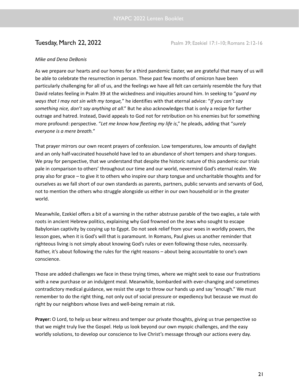**Tuesday, March 22, 2022** Psalm 39; Ezekiel 17:1-10; Romans 2:12-16

### *Mike and Dena DeBonis*

As we prepare our hearts and our homes for a third pandemic Easter, we are grateful that many of us will be able to celebrate the resurrection in person. These past few months of omicron have been particularly challenging for all of us, and the feelings we have all felt can certainly resemble the fury that David relates feeling in Psalm 39 at the wickedness and iniquities around him. In seeking to "*guard my ways that I may not sin with my tongue,*" he identifies with that eternal advice: "*If you can't say something nice, don't say anything at all*." But he also acknowledges that is only a recipe for further outrage and hatred. Instead, David appeals to God not for retribution on his enemies but for something more profound: perspective. "*Let me know how fleeting my life is*," he pleads, adding that "*surely everyone is a mere breath.*"

That prayer mirrors our own recent prayers of confession. Low temperatures, low amounts of daylight and an only half-vaccinated household have led to an abundance of short tempers and sharp tongues. We pray for perspective, that we understand that despite the historic nature of this pandemic our trials pale in comparison to others' throughout our time and our world, nevermind God's eternal realm. We pray also for grace – to give it to others who inspire our sharp tongue and uncharitable thoughts and for ourselves as we fall short of our own standards as parents, partners, public servants and servants of God, not to mention the others who struggle alongside us either in our own household or in the greater world.

Meanwhile, Ezekiel offers a bit of a warning in the rather abstruse parable of the two eagles, a tale with roots in ancient Hebrew politics, explaining why God frowned on the Jews who sought to escape Babylonian captivity by cozying up to Egypt. Do not seek relief from your woes in worldly powers, the lesson goes, when it is God's will that is paramount. In Romans, Paul gives us another reminder that righteous living is not simply about knowing God's rules or even following those rules, necessarily. Rather, it's about following the rules for the right reasons – about being accountable to one's own conscience.

Those are added challenges we face in these trying times, where we might seek to ease our frustrations with a new purchase or an indulgent meal. Meanwhile, bombarded with ever-changing and sometimes contradictory medical guidance, we resist the urge to throw our hands up and say "enough." We must remember to do the right thing, not only out of social pressure or expediency but because we must do right by our neighbors whose lives and well-being remain at risk.

**Prayer:** O Lord, to help us bear witness and temper our private thoughts, giving us true perspective so that we might truly live the Gospel. Help us look beyond our own myopic challenges, and the easy worldly solutions, to develop our conscience to live Christ's message through our actions every day.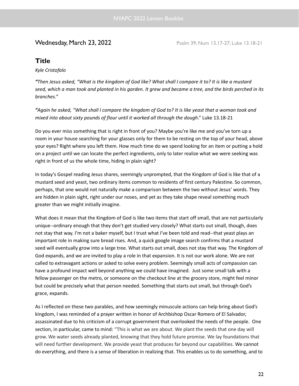**Wednesday, March 23, 2022** Psalm 39; Num 13.17-27; Luke 13.18-21

# **Title**

*Kyle Cristofalo*

"Then Jesus asked, "What is the kingdom of God like? What shall I compare it to? It is like a mustard seed, which a man took and planted in his garden. It grew and became a tree, and the birds perched in its *branches."*

"Again he asked, "What shall I compare the kingdom of God to? It is like yeast that a woman took and *mixed into about sixty pounds of flour until it worked all through the dough*." Luke 13.18-21

Do you ever miss something that is right in front of you? Maybe you're like me and you've torn up a room in your house searching for your glasses only for them to be resting on the top of your head, above your eyes? Right where you left them. How much time do we spend looking for an item or putting a hold on a project until we can locate the perfect ingredients, only to later realize what we were seeking was right in front of us the whole time, hiding in plain sight?

In today's Gospel reading Jesus shares, seemingly unprompted, that the Kingdom of God is like that of a mustard seed and yeast, two ordinary items common to residents of first century Palestine. So common, perhaps, that one would not naturally make a comparison between the two without Jesus' words. They are hidden in plain sight, right under our noses, and yet as they take shape reveal something much greater than we might initially imagine.

What does it mean that the Kingdom of God is like two items that start off small, that are not particularly unique--ordinary enough that they don't get studied very closely? What starts out small, though, does not stay that way. I'm not a baker myself, but I trust what I've been told and read--that yeast plays an important role in making sure bread rises. And, a quick google image search confirms that a mustard seed will eventually grow into a large tree. What starts out small, does not stay that way. The Kingdom of God expands, and we are invited to play a role in that expansion. It is not our work alone. We are not called to extravagant actions or asked to solve every problem. Seemingly small acts of compassion can have a profound impact well beyond anything we could have imagined. Just some small talk with a fellow passenger on the metro, or someone on the checkout line at the grocery store, might feel minor but could be precisely what that person needed. Something that starts out small, but through God's grace, expands.

As I reflected on these two parables, and how seemingly minuscule actions can help bring about God's kingdom, I was reminded of a prayer written in honor of Archbishop Oscar Romero of El Salvador, assassinated due to his criticism of a corrupt government that overlooked the needs of the people. One section, in particular, came to mind: "This is what we are about. We plant the seeds that one day will grow. We water seeds already planted, knowing that they hold future promise. We lay foundations that will need further development. We provide yeast that produces far beyond our capabilities. We cannot do everything, and there is a sense of liberation in realizing that. This enables us to do something, and to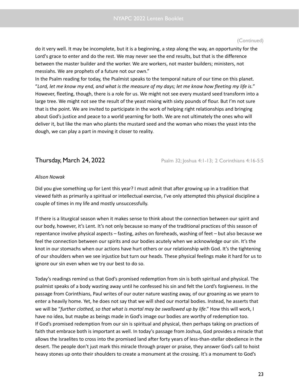do it very well. It may be incomplete, but it is a beginning, a step along the way, an opportunity for the Lord's grace to enter and do the rest. We may never see the end results, but that is the difference between the master builder and the worker. We are workers, not master builders; ministers, not messiahs. We are prophets of a future not our own."

In the Psalm reading for today, the Psalmist speaks to the temporal nature of our time on this planet. "Lord, let me know my end, and what is the measure of my days; let me know how fleeting my life is." However, fleeting, though, there is a role for us. We might not see every mustard seed transform into a large tree. We might not see the result of the yeast mixing with sixty pounds of flour. But I'm not sure that is the point. We are invited to participate in the work of helping right relationships and bringing about God's justice and peace to a world yearning for both. We are not ultimately the ones who will deliver it, but like the man who plants the mustard seed and the woman who mixes the yeast into the dough, we can play a part in moving it closer to reality.

**Thursday, March 24, 2022** Psalm 32; Joshua 4:1-13; 2 Corinthians 4:16-5:5

### *Alison Nowak*

Did you give something up for Lent this year? I must admit that after growing up in a tradition that viewed faith as primarily a spiritual or intellectual exercise, I've only attempted this physical discipline a couple of times in my life and mostly unsuccessfully.

If there is a liturgical season when it makes sense to think about the connection between our spirit and our body, however, it's Lent. It's not only because so many of the traditional practices of this season of repentance involve physical aspects – fasting, ashes on foreheads, washing of feet – but also because we feel the connection between our spirits and our bodies acutely when we acknowledge our sin. It's the knot in our stomachs when our actions have hurt others or our relationship with God. It's the tightening of our shoulders when we see injustice but turn our heads. These physical feelings make it hard for us to ignore our sin even when we try our best to do so.

Today's readings remind us that God's promised redemption from sin is both spiritual and physical. The psalmist speaks of a body wasting away until he confessed his sin and felt the Lord's forgiveness. In the passage from Corinthians, Paul writes of our outer nature wasting away, of our groaning as we yearn to enter a heavily home. Yet, he does not say that we will shed our mortal bodies. Instead, he asserts that we will be "*further clothed, so that what is mortal may be swallowed up by life*." How this will work, I have no idea, but maybe as beings made in God's image our bodies are worthy of redemption too. If God's promised redemption from our sin is spiritual and physical, then perhaps taking on practices of faith that embrace both is important as well. In today's passage from Joshua, God provides a miracle that allows the Israelites to cross into the promised land after forty years of less-than-stellar obedience in the desert. The people don't just mark this miracle through prayer or praise, they answer God's call to hoist heavy stones up onto their shoulders to create a monument at the crossing. It's a monument to God's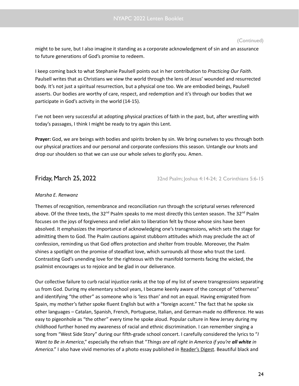might to be sure, but I also imagine it standing as a corporate acknowledgment of sin and an assurance to future generations of God's promise to redeem.

I keep coming back to what Stephanie Paulsell points out in her contribution to *Practicing Our Faith*. Paulsell writes that as Christians we view the world through the lens of Jesus' wounded and resurrected body. It's not just a spiritual resurrection, but a physical one too. We are embodied beings, Paulsell asserts. Our bodies are worthy of care, respect, and redemption and it's through our bodies that we participate in God's activity in the world (14-15).

I've not been very successful at adopting physical practices of faith in the past, but, after wrestling with today's passages, I think I might be ready to try again this Lent.

**Prayer:** God, we are beings with bodies and spirits broken by sin. We bring ourselves to you through both our physical practices and our personal and corporate confessions this season. Untangle our knots and drop our shoulders so that we can use our whole selves to glorify you. Amen.

**Friday, March 25, 2022** 32nd Psalm; Joshua 4:14-24; 2 Corinthians 5:6-15

### *Marsha E. Renwanz*

Themes of recognition, remembrance and reconciliation run through the scriptural verses referenced above. Of the three texts, the 32<sup>nd</sup> Psalm speaks to me most directly this Lenten season. The 32<sup>nd</sup> Psalm focuses on the joys of forgiveness and relief akin to liberation felt by those whose sins have been absolved. It emphasizes the importance of acknowledging one's transgressions, which sets the stage for admitting them to God. The Psalm cautions against stubborn attitudes which may preclude the act of confession, reminding us that God offers protection and shelter from trouble. Moreover, the Psalm shines a spotlight on the promise of steadfast love, which surrounds all those who trust the Lord. Contrasting God's unending love for the righteous with the manifold torments facing the wicked, the psalmist encourages us to rejoice and be glad in our deliverance.

Our collective failure to curb racial injustice ranks at the top of my list of severe transgressions separating us from God. During my elementary school years, I became keenly aware of the concept of "otherness" and identifying "the other" as someone who is 'less than' and not an equal. Having emigrated from Spain, my mother's father spoke fluent English but with a "foreign accent." The fact that he spoke six other languages – Catalan, Spanish, French, Portuguese, Italian, and German-made no difference. He was easy to pigeonhole as "the other" every time he spoke aloud. Popular culture in New Jersey during my childhood further honed my awareness of racial and ethnic discrimination. I can remember singing a song from "West Side Story" during our fifth-grade school concert. I carefully considered the lyrics to "*I Want to Be in America*," especially the refrain that "*Things are all right in America if you're all white in America*." I also have vivid memories of a photo essay published in Reader's Digest. Beautiful black and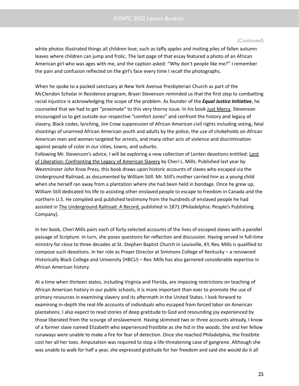white photos illustrated things all children love, such as taffy apples and inviting piles of fallen autumn leaves where children can jump and frolic. The last page of that essay featured a photo of an African American girl who was ages with me, and the caption asked: "Why don't people like me?" I remember the pain and confusion reflected on the girl's face every time I recall the photographs.

When he spoke to a packed sanctuary at New York Avenue Presbyterian Church as part of the McClendon Scholar in Residence program, Bryan Stevenson reminded us that the first step to combatting racial injustice is acknowledging the scope of the problem. As founder of the *Equal Justice Initiative*, he counseled that we had to get "proximate" to this very thorny issue. In his book Just Mercy, Stevenson encouraged us to get outside our respective "comfort zones" and confront the history and legacy of slavery, Black codes, lynching, Jim Crow suppression of African American civil rights including voting, fatal shootings of unarmed African American youth and adults by the police, the use of chokeholds on African American men and women targeted for arrests, and many other acts of violence and discrimination against people of color in our cities, towns, and suburbs.

Following Mr. Stevenson's advice, I will be exploring a new collection of Lenten devotions entitled: Lent of Liberation: Confronting the Legacy of American Slavery by Cheri L. Mills. Published last year by Westminster John Knox Press, this book draws upon historic accounts of slaves who escaped via the Underground Railroad, as documented by William Still. Mr. Still's mother carried him as a young child when she herself ran away from a plantation where she had been held in bondage. Once he grew up, William Still dedicated his life to assisting other enslaved people to escape to freedom in Canada and the northern U.S. He compiled and published testimony from the hundreds of enslaved people he had assisted in The Underground Railroad: A Record, published in 1871 (Philadelphia: People's Publishing Company).

In her book, Cheri Mills pairs each of forty selected accounts of the lives of escaped slaves with a parallel passage of Scripture. In turn, she poses questions for reflection and discussion. Having served in full-time ministry for close to three decades at St. Stephen Baptist Church in Louisville, KY, Rev. Mills is qualified to compose such devotions. In her role as Prayer Director at Simmons College of Kentucky – a renowned Historically Black College and University (HBCU) – Rev. Mills has also garnered considerable expertise in African American history.

At a time when thirteen states, including Virginia and Florida, are imposing restrictions on teaching of African American history in our public schools, it is more important than ever to promote the use of primary resources in examining slavery and its aftermath in the United States. I look forward to examining in-depth the real-life accounts of individuals who escaped from forced labor on American plantations. I also expect to read stories of deep gratitude to God and resounding joy experienced by those liberated from the scourge of enslavement. Having skimmed two or three accounts already, I know of a former slave named Elizabeth who experienced frostbite as she hid in the woods. She and her fellow runaways were unable to make a fire for fear of detection. Once she reached Philadelphia, the frostbite cost her all her toes. Amputation was required to stop a life-threatening case of gangrene. Although she was unable to walk for half a year, she expressed gratitude for her freedom and said she would do it all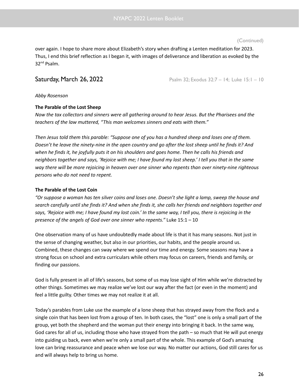over again. I hope to share more about Elizabeth's story when drafting a Lenten meditation for 2023. Thus, I end this brief reflection as I began it, with images of deliverance and liberation as evoked by the 32<sup>nd</sup> Psalm.

**Saturday, March 26, 2022** Psalm 32; Exodus 32:7 – 14; Luke 15:1 – 10

*Abby Rosenson*

### **The Parable of the Lost Sheep**

Now the tax collectors and sinners were all gathering around to hear Jesus. But the Pharisees and the *teachers of the law muttered, "This man welcomes sinners and eats with them."*

Then Jesus told them this parable: "Suppose one of you has a hundred sheep and loses one of them. Doesn't he leave the ninety-nine in the open country and go after the lost sheep until he finds it? And when he finds it, he joyfully puts it on his shoulders and goes home. Then he calls his friends and neighbors together and says, 'Rejoice with me; I have found my lost sheep.' I tell you that in the same *way there will be more rejoicing in heaven over one sinner who repents than over ninety-nine righteous persons who do not need to repent.*

### **The Parable of the Lost Coin**

"Or suppose a woman has ten silver coins and loses one. Doesn't she light a lamp, sweep the house and search carefully until she finds it? And when she finds it, she calls her friends and neighbors together and says, 'Rejoice with me; I have found my lost coin.' In the same way, I tell you, there is rejoicing in the *presence of the angels of God over one sinner who repents."* Luke 15:1 – 10

One observation many of us have undoubtedly made about life is that it has many seasons. Not just in the sense of changing weather, but also in our priorities, our habits, and the people around us. Combined, these changes can sway where we spend our time and energy. Some seasons may have a strong focus on school and extra curriculars while others may focus on careers, friends and family, or finding our passions.

God is fully present in all of life's seasons, but some of us may lose sight of Him while we're distracted by other things. Sometimes we may realize we've lost our way after the fact (or even in the moment) and feel a little guilty. Other times we may not realize it at all.

Today's parables from Luke use the example of a lone sheep that has strayed away from the flock and a single coin that has been lost from a group of ten. In both cases, the "lost" one is only a small part of the group, yet both the shepherd and the woman put their energy into bringing it back. In the same way, God cares for all of us, including those who have strayed from the path – so much that He will put energy into guiding us back, even when we're only a small part of the whole. This example of God's amazing love can bring reassurance and peace when we lose our way. No matter our actions, God still cares for us and will always help to bring us home.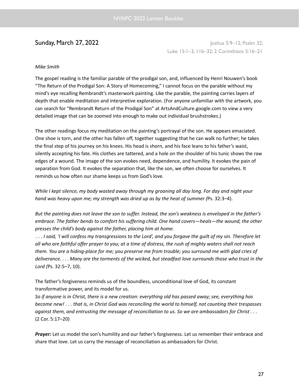**Sunday, March 27, 2022** Joshua 5:9–12; Psalm 32; Luke 15:1–3, 11b–32; 2 Corinthians 5:16–21

### *Mike Smith*

The gospel reading is the familiar parable of the prodigal son, and, influenced by Henri Nouwen's book "The Return of the Prodigal Son: A Story of Homecoming," I cannot focus on the parable without my mind's eye recalling Rembrandt's masterwork painting. Like the parable, the painting carries layers of depth that enable meditation and interpretive exploration. (For anyone unfamiliar with the artwork, you can search for "Rembrandt Return of the Prodigal Son" at ArtsAndCulture.google.com to view a very detailed image that can be zoomed into enough to make out individual brushstrokes.)

The other readings focus my meditation on the painting's portrayal of the son. He appears emaciated. One shoe is torn, and the other has fallen off, together suggesting that he can walk no further; he takes the final step of his journey on his knees. His head is shorn, and his face leans to his father's waist, silently accepting his fate. His clothes are tattered, and a hole on the shoulder of his tunic shows the raw edges of a wound. The image of the son evokes need, dependence, and humility. It evokes the pain of separation from God. It evokes the separation that, like the son, we often choose for ourselves. It reminds us how often our shame keeps us from God's love.

While I kept silence, my body wasted away through my groaning all day long. For day and night your *hand was heavy upon me; my strength was dried up as by the heat of summer (*Ps. 32:3–4).

But the painting does not leave the son to suffer. Instead, the son's weakness is enveloped in the father's *embrace. The father bends to comfort his suffering child. One hand covers—heals—the wound, the other presses the child's body against the father, placing him at home.*

... I said, 'I will confess my transgressions to the Lord', and you forgave the quilt of my sin. Therefore let all who are faithful offer prayer to you; at a time of distress, the rush of mighty waters shall not reach them. You are a hiding-place for me; you preserve me from trouble; you surround me with glad cries of deliverance.... Many are the torments of the wicked, but steadfast love surrounds those who trust in the *Lord (*Ps. 32:5–7, 10).

The father's forgiveness reminds us of the boundless, unconditional love of God, its constant transformative power, and its model for us.

So if anyone is in Christ, there is a new creation: everything old has passed away; see, everything has become new!... that is, in Christ God was reconciling the world to himself, not counting their trespasses against them, and entrusting the message of reconciliation to us. So we are ambassadors for Christ . . . (2 Cor. 5:17–20)

**Prayer:** Let us model the son's humility and our father's forgiveness. Let us remember their embrace and share that love. Let us carry the message of reconciliation as ambassadors for Christ.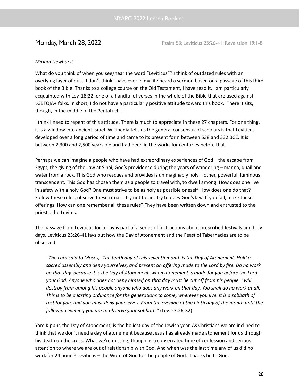**Monday, March 28, 2022** Psalm 53; Leviticus 23:26-41; Revelation 19:1-8

### *Miriam Dewhurst*

What do you think of when you see/hear the word "Leviticus"? I think of outdated rules with an overlying layer of dust. I don't think I have ever in my life heard a sermon based on a passage of this third book of the Bible. Thanks to a college course on the Old Testament, I have read it. I am particularly acquainted with Lev. 18:22, one of a handful of verses in the whole of the Bible that are used against LGBTQIA+ folks. In short, I do not have a particularly positive attitude toward this book. There it sits, though, in the middle of the Pentatuch.

I think I need to repent of this attitude. There is much to appreciate in these 27 chapters. For one thing, it is a window into ancient Israel. Wikipedia tells us the general consensus of scholars is that Leviticus developed over a long period of time and came to its present form between 538 and 332 BCE. It is between 2,300 and 2,500 years old and had been in the works for centuries before that.

Perhaps we can imagine a people who have had extraordinary experiences of God – the escape from Egypt, the giving of the Law at Sinai, God's providence during the years of wandering – manna, quail and water from a rock. This God who rescues and provides is unimaginably holy – other, powerful, luminous, transcendent. This God has chosen them as a people to travel with, to dwell among. How does one live in safety with a holy God? One must strive to be as holy as possible oneself. How does one do that? Follow these rules, observe these rituals. Try not to sin. Try to obey God's law. If you fail, make these offerings. How can one remember all these rules? They have been written down and entrusted to the priests, the Levites.

The passage from Leviticus for today is part of a series of instructions about prescribed festivals and holy days. Leviticus 23:26-41 lays out how the Day of Atonement and the Feast of Tabernacles are to be observed.

"The Lord said to Moses, 'The tenth day of this seventh month is the Day of Atonement. Hold a *sacred assembly and deny yourselves, and present an offering made to the Lord by fire. Do no work* on that day, because it is the Day of Atonement, when atonement is made for you before the Lord your God. Anyone who does not deny himself on that day must be cut off from his people. I will destroy from among his people anyone who does any work on that day. You shall do no work at all. This is to be a lasting ordinance for the generations to come, wherever you live. It is a sabbath of rest for you, and you must deny yourselves. From the evening of the ninth day of the month until the *following evening you are to observe your sabbath."* (Lev. 23:26-32)

Yom Kippur, the Day of Atonement, is the holiest day of the Jewish year. As Christians we are inclined to think that we don't need a day of atonement because Jesus has already made atonement for us through his death on the cross. What we're missing, though, is a consecrated time of confession and serious attention to where we are out of relationship with God. And when was the last time any of us did no work for 24 hours? Leviticus – the Word of God for the people of God. Thanks be to God.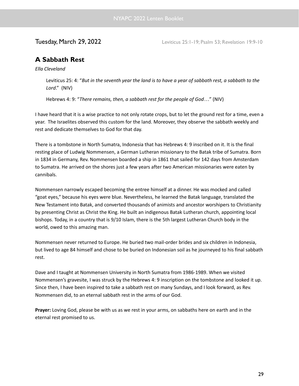**Tuesday, March 29, 2022** Leviticus 25:1-19; Psalm 53; Revelation 19:9-10

# **A Sabbath Rest**

*Ella Cleveland*

Leviticus 25: 4: "But in the seventh year the land is to have a year of sabbath rest, a sabbath to the *Lord*." (NIV)

Hebrews 4: 9: "*There remains, then, a sabbath rest for the people of God…*" (NIV)

I have heard that it is a wise practice to not only rotate crops, but to let the ground rest for a time, even a year. The Israelites observed this custom for the land. Moreover, they observe the sabbath weekly and rest and dedicate themselves to God for that day.

There is a tombstone in North Sumatra, Indonesia that has Hebrews 4: 9 inscribed on it. It is the final resting place of Ludwig Nommensen, a German Lutheran missionary to the Batak tribe of Sumatra. Born in 1834 in Germany, Rev. Nommensen boarded a ship in 1861 that sailed for 142 days from Amsterdam to Sumatra. He arrived on the shores just a few years after two American missionaries were eaten by cannibals.

Nommensen narrowly escaped becoming the entree himself at a dinner. He was mocked and called "goat eyes," because his eyes were blue. Nevertheless, he learned the Batak language, translated the New Testament into Batak, and converted thousands of animists and ancestor worshipers to Christianity by presenting Christ as Christ the King. He built an indigenous Batak Lutheran church, appointing local bishops. Today, in a country that is 9/10 Islam, there is the 5th largest Lutheran Church body in the world, owed to this amazing man.

Nommensen never returned to Europe. He buried two mail-order brides and six children in Indonesia, but lived to age 84 himself and chose to be buried on Indonesian soil as he journeyed to his final sabbath rest.

Dave and I taught at Nommensen University in North Sumatra from 1986-1989. When we visited Nommensen's gravesite, I was struck by the Hebrews 4: 9 inscription on the tombstone and looked it up. Since then, I have been inspired to take a sabbath rest on many Sundays, and I look forward, as Rev. Nommensen did, to an eternal sabbath rest in the arms of our God.

**Prayer:** Loving God, please be with us as we rest in your arms, on sabbaths here on earth and in the eternal rest promised to us.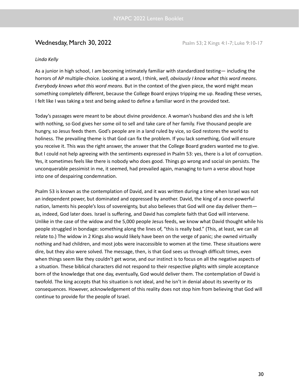# **Wednesday, March 30, 2022** Psalm 53; 2 Kings 4:1-7; Luke 9:10-17

### *Linda Kelly*

As a junior in high school, I am becoming intimately familiar with standardized testing— including the horrors of AP multiple-choice. Looking at a word, I think, *well, obviously I know what this word means*. *Everybody knows what this word means.* But in the context of the given piece, the word might mean something completely different, because the College Board enjoys tripping me up. Reading these verses, I felt like I was taking a test and being asked to define a familiar word in the provided text.

Today's passages were meant to be about divine providence. A woman's husband dies and she is left with nothing, so God gives her some oil to sell and take care of her family. Five thousand people are hungry, so Jesus feeds them. God's people are in a land ruled by vice, so God restores the world to holiness. The prevailing theme is that God can fix the problem. If you lack something, God will ensure you receive it. This was the right answer, the answer that the College Board graders wanted me to give. But I could not help agreeing with the sentiments expressed in Psalm 53: yes, there is a lot of corruption. Yes, it sometimes feels like there is nobody who does good. Things go wrong and social sin persists. The unconquerable pessimist in me, it seemed, had prevailed again, managing to turn a verse about hope into one of despairing condemnation.

Psalm 53 is known as the contemplation of David, and it was written during a time when Israel was not an independent power, but dominated and oppressed by another. David, the king of a once-powerful nation, laments his people's loss of sovereignty, but also believes that God will one day deliver them as, indeed, God later does. Israel is suffering, and David has complete faith that God will intervene. Unlike in the case of the widow and the 5,000 people Jesus feeds, we know what David thought while his people struggled in bondage: something along the lines of, "this is really bad." (This, at least, we can all relate to.) The widow in 2 Kings also would likely have been on the verge of panic; she owned virtually nothing and had children, and most jobs were inaccessible to women at the time. These situations were dire, but they also were solved. The message, then, is that God sees us through difficult times, even when things seem like they couldn't get worse, and our instinct is to focus on all the negative aspects of a situation. These biblical characters did not respond to their respective plights with simple acceptance born of the knowledge that one day, eventually, God would deliver them. The contemplation of David is twofold. The king accepts that his situation is not ideal, and he isn't in denial about its severity or its consequences. However, acknowledgement of this reality does not stop him from believing that God will continue to provide for the people of Israel.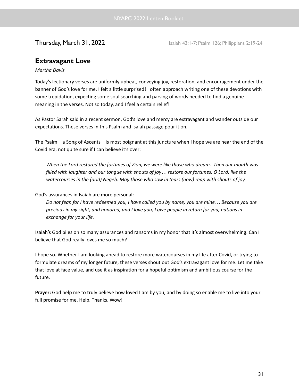**Thursday, March 31, 2022** Isaiah 43:1-7; Psalm 126; Philippians 2:19-24

# **Extravagant Love**

### *Martha Davis*

Today's lectionary verses are uniformly upbeat, conveying joy, restoration, and encouragement under the banner of God's love for me. I felt a little surprised! I often approach writing one of these devotions with some trepidation, expecting some soul searching and parsing of words needed to find a genuine meaning in the verses. Not so today, and I feel a certain relief!

As Pastor Sarah said in a recent sermon, God's love and mercy are extravagant and wander outside our expectations. These verses in this Psalm and Isaiah passage pour it on.

The Psalm – a Song of Ascents – is most poignant at this juncture when I hope we are near the end of the Covid era, not quite sure if I can believe it's over:

*When the Lord restored the fortunes of Zion, we were like those who dream. Then our mouth was filled with laughter and our tongue with shouts of joy… restore our fortunes, O Lord, like the watercourses in the (arid) Negeb. May those who sow in tears (now) reap with shouts of joy.*

God's assurances in Isaiah are more personal:

Do not fear, for I have redeemed you, I have called you by name, you are mine... Because you are precious in my sight, and honored, and I love you, I give people in return for you, nations in *exchange for your life.*

Isaiah's God piles on so many assurances and ransoms in my honor that it's almost overwhelming. Can I believe that God really loves me so much?

I hope so. Whether I am looking ahead to restore more watercourses in my life after Covid, or trying to formulate dreams of my longer future, these verses shout out God's extravagant love for me. Let me take that love at face value, and use it as inspiration for a hopeful optimism and ambitious course for the future.

**Prayer:** God help me to truly believe how loved I am by you, and by doing so enable me to live into your full promise for me. Help, Thanks, Wow!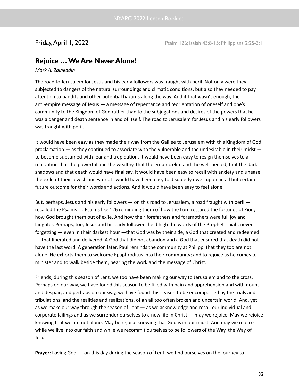**Friday, April 1, 2022** Psalm 126; Isaiah 43:8-15; Philippians 2:25-3:1

# **Rejoice …We Are Never Alone!**

*Mark A. Zaineddin*

The road to Jerusalem for Jesus and his early followers was fraught with peril. Not only were they subjected to dangers of the natural surroundings and climatic conditions, but also they needed to pay attention to bandits and other potential hazards along the way. And if that wasn't enough, the anti-empire message of Jesus — a message of repentance and reorientation of oneself and one's community to the Kingdom of God rather than to the subjugations and desires of the powers that be was a danger and death sentence in and of itself. The road to Jerusalem for Jesus and his early followers was fraught with peril.

It would have been easy as they made their way from the Galilee to Jerusalem with this Kingdom of God proclamation — as they continued to associate with the vulnerable and the undesirable in their midst to become subsumed with fear and trepidation. It would have been easy to resign themselves to a realization that the powerful and the wealthy, that the empiric elite and the well-heeled, that the dark shadows and that death would have final say. It would have been easy to recall with anxiety and unease the exile of their Jewish ancestors. It would have been easy to disquietly dwell upon an all but certain future outcome for their words and actions. And it would have been easy to feel alone.

But, perhaps, Jesus and his early followers — on this road to Jerusalem, a road fraught with peril recalled the Psalms … Psalms like 126 reminding them of how the Lord restored the fortunes of Zion; how God brought them out of exile. And how their forefathers and foremothers were full joy and laughter. Perhaps, too, Jesus and his early followers held high the words of the Prophet Isaiah, never forgetting — even in their darkest hour —that God was by their side, a God that created and redeemed … that liberated and delivered. A God that did not abandon and a God that ensured that death did not have the last word. A generation later, Paul reminds the community at Philippi that they too are not alone. He exhorts them to welcome Epaphroditus into their community; and to rejoice as he comes to minister and to walk beside them, bearing the work and the message of Christ.

Friends, during this season of Lent, we too have been making our way to Jerusalem and to the cross. Perhaps on our way, we have found this season to be filled with pain and apprehension and with doubt and despair; and perhaps on our way, we have found this season to be encompassed by the trials and tribulations, and the realities and realizations, of an all too often broken and uncertain world. And, yet, as we make our way through the season of Lent — as we acknowledge and recall our individual and corporate failings and as we surrender ourselves to a new life in Christ — may we rejoice. May we rejoice knowing that we are not alone. May be rejoice knowing that God is in our midst. And may we rejoice while we live into our faith and while we recommit ourselves to be followers of the Way, the Way of Jesus.

**Prayer:** Loving God … on this day during the season of Lent, we find ourselves on the journey to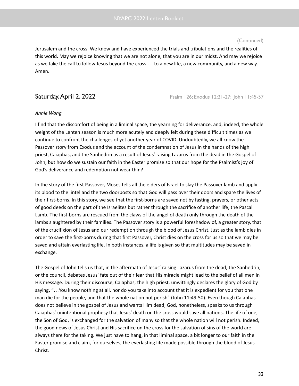Jerusalem and the cross. We know and have experienced the trials and tribulations and the realities of this world. May we rejoice knowing that we are not alone, that you are in our midst. And may we rejoice as we take the call to follow Jesus beyond the cross … to a new life, a new community, and a new way. Amen.

**Saturday, April 2, 2022** Psalm 126; Exodus 12:21-27; John 11:45-57

### *Annie Wong*

I find that the discomfort of being in a liminal space, the yearning for deliverance, and, indeed, the whole weight of the Lenten season is much more acutely and deeply felt during these difficult times as we continue to confront the challenges of yet another year of COVID. Undoubtedly, we all know the Passover story from Exodus and the account of the condemnation of Jesus in the hands of the high priest, Caiaphas, and the Sanhedrin as a result of Jesus' raising Lazarus from the dead in the Gospel of John, but how do we sustain our faith in the Easter promise so that our hope for the Psalmist's joy of God's deliverance and redemption not wear thin?

In the story of the first Passover, Moses tells all the elders of Israel to slay the Passover lamb and apply its blood to the lintel and the two doorposts so that God will pass over their doors and spare the lives of their first-borns. In this story, we see that the first-borns are saved not by fasting, prayers, or other acts of good deeds on the part of the Israelites but rather through the sacrifice of another life, the Pascal Lamb. The first-borns are rescued from the claws of the angel of death only through the death of the lambs slaughtered by their families. The Passover story is a powerful foreshadow of, a greater story, that of the crucifixion of Jesus and our redemption through the blood of Jesus Christ. Just as the lamb dies in order to save the first-borns during that first Passover, Christ dies on the cross for us so that we may be saved and attain everlasting life. In both instances, a life is given so that multitudes may be saved in exchange.

The Gospel of John tells us that, in the aftermath of Jesus' raising Lazarus from the dead, the Sanhedrin, or the council, debates Jesus' fate out of their fear that His miracle might lead to the belief of all men in His message. During their discourse, Caiaphas, the high priest, unwittingly declares the glory of God by saying, "…You know nothing at all, nor do you take into account that it is expedient for you that one man die for the people, and that the whole nation not perish" (John 11:49-50). Even though Caiaphas does not believe in the gospel of Jesus and wants Him dead, God, nonetheless, speaks to us through Caiaphas' unintentional prophesy that Jesus' death on the cross would save all nations. The life of one, the Son of God, is exchanged for the salvation of many so that the whole nation will not perish. Indeed, the good news of Jesus Christ and His sacrifice on the cross for the salvation of sins of the world are always there for the taking. We just have to hang, in that liminal space, a bit longer to our faith in the Easter promise and claim, for ourselves, the everlasting life made possible through the blood of Jesus Christ.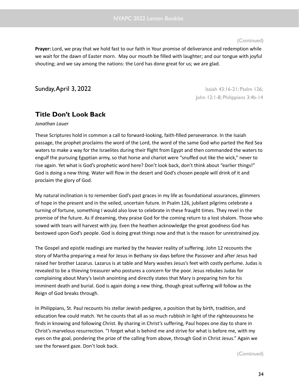**Prayer:** Lord, we pray that we hold fast to our faith in Your promise of deliverance and redemption while we wait for the dawn of Easter morn. May our mouth be filled with laughter; and our tongue with joyful shouting; and we say among the nations: the Lord has done great for us; we are glad.

**Sunday, April 3, 2022 Isaiah 43:16-21; Psalm 126; Isaiah 43:16-21; Psalm 126;** 

John 12:1-8; Philippians 3:4b-14

# **Title Don't Look Back**

*Jonathan Lauer*

These Scriptures hold in common a call to forward-looking, faith-filled perseverance. In the Isaiah passage, the prophet proclaims the word of the Lord, the word of the same God who parted the Red Sea waters to make a way for the Israelites during their flight from Egypt and then commanded the waters to engulf the pursuing Egyptian army, so that horse and chariot were "snuffed out like the wick," never to rise again. Yet what is God's prophetic word here? Don't look back, don't think about "earlier things!" God is doing a new thing. Water will flow in the desert and God's chosen people will drink of it and proclaim the glory of God.

My natural inclination is to remember God's past graces in my life as foundational assurances, glimmers of hope in the present and in the veiled, uncertain future. In Psalm 126, jubilant pilgrims celebrate a turning of fortune, something I would also love to celebrate in these fraught times. They revel in the promise of the future. As if dreaming, they praise God for the coming return to a lost shalom. Those who sowed with tears will harvest with joy. Even the heathen acknowledge the great goodness God has bestowed upon God's people. God is doing great things now and that is the reason for unrestrained joy.

The Gospel and epistle readings are marked by the heavier reality of suffering. John 12 recounts the story of Martha preparing a meal for Jesus in Bethany six days before the Passover and after Jesus had raised her brother Lazarus. Lazarus is at table and Mary washes Jesus's feet with costly perfume. Judas is revealed to be a thieving treasurer who postures a concern for the poor. Jesus rebukes Judas for complaining about Mary's lavish anointing and directly states that Mary is preparing him for his imminent death and burial. God is again doing a new thing, though great suffering will follow as the Reign of God breaks through.

In Philippians, St. Paul recounts his stellar Jewish pedigree, a position that by birth, tradition, and education few could match. Yet he counts that all as so much rubbish in light of the righteousness he finds in knowing and following Christ. By sharing in Christ's suffering, Paul hopes one day to share in Christ's marvelous resurrection. "I forget what is behind me and strive for what is before me, with my eyes on the goal, pondering the prize of the calling from above, through God in Christ Jesus." Again we see the forward gaze. Don't look back.

(Continued)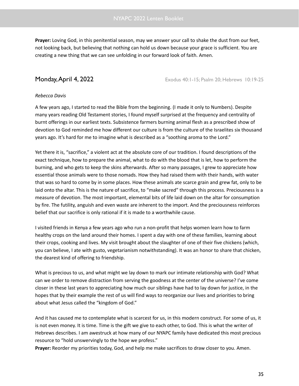**Prayer:** Loving God, in this penitential season, may we answer your call to shake the dust from our feet, not looking back, but believing that nothing can hold us down because your grace is sufficient. You are creating a new thing that we can see unfolding in our forward look of faith. Amen.

**Monday, April 4, 2022** Exodus 40:1-15; Psalm 20; Hebrews 10:19-25

### *Rebecca Davis*

A few years ago, I started to read the Bible from the beginning. (I made it only to Numbers). Despite many years reading Old Testament stories, I found myself surprised at the frequency and centrality of burnt offerings in our earliest texts. Subsistence farmers burning animal flesh as a prescribed show of devotion to God reminded me how different our culture is from the culture of the Israelites six thousand years ago. It's hard for me to imagine what is described as a "soothing aroma to the Lord."

Yet there it is, "sacrifice," a violent act at the absolute core of our tradition. I found descriptions of the exact technique, how to prepare the animal, what to do with the blood that is let, how to perform the burning, and who gets to keep the skins afterwards. After so many passages, I grew to appreciate how essential those animals were to those nomads. How they had raised them with their hands, with water that was so hard to come by in some places. How these animals ate scarce grain and grew fat, only to be laid onto the altar. This is the nature of sacrifice, to "make sacred" through this process. Preciousness is a measure of devotion. The most important, elemental bits of life laid down on the altar for consumption by fire. The futility, anguish and even waste are inherent to the import. And the preciousness reinforces belief that our sacrifice is only rational if it is made to a worthwhile cause.

I visited friends in Kenya a few years ago who run a non-profit that helps women learn how to farm healthy crops on the land around their homes. I spent a day with one of these families, learning about their crops, cooking and lives. My visit brought about the slaughter of one of their five chickens (which, you can believe, I ate with gusto, vegetarianism notwithstanding). It was an honor to share that chicken, the dearest kind of offering to friendship.

What is precious to us, and what might we lay down to mark our intimate relationship with God? What can we order to remove distraction from serving the goodness at the center of the universe? I've come closer in these last years to appreciating how much our siblings have had to lay down for justice, in the hopes that by their example the rest of us will find ways to reorganize our lives and priorities to bring about what Jesus called the "kingdom of God."

And it has caused me to contemplate what is scarcest for us, in this modern construct. For some of us, it is not even money. It is time. Time is the gift we give to each other, to God. This is what the writer of Hebrews describes. I am awestruck at how many of our NYAPC family have dedicated this most precious resource to "hold unswervingly to the hope we profess."

**Prayer:** Reorder my priorities today, God, and help me make sacrifices to draw closer to you. Amen.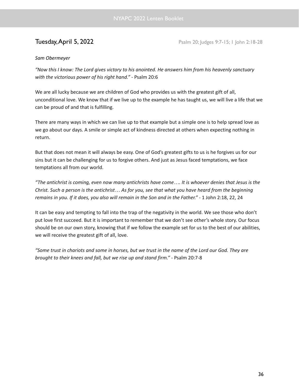**Tuesday, April 5, 2022 Psalm 20; Judges 9:7-15; 1 John 2:18-28** 

### *Sam Obermeyer*

"Now this I know: The Lord gives victory to his anointed. He answers him from his heavenly sanctuary *with the victorious power of his right hand." -* Psalm 20:6

We are all lucky because we are children of God who provides us with the greatest gift of all, unconditional love. We know that if we live up to the example he has taught us, we will live a life that we can be proud of and that is fulfilling.

There are many ways in which we can live up to that example but a simple one is to help spread love as we go about our days. A smile or simple act of kindness directed at others when expecting nothing in return.

But that does not mean it will always be easy. One of God's greatest gifts to us is he forgives us for our sins but it can be challenging for us to forgive others. And just as Jesus faced temptations, we face temptations all from our world.

"The antichrist is coming, even now many antichrists have come.... It is whoever denies that Jesus is the Christ. Such a person is the antichrist... As for you, see that what you have heard from the beginning *remains in you. If it does, you also will remain in the Son and in the Father."* - 1 John 2:18, 22, 24

It can be easy and tempting to fall into the trap of the negativity in the world. We see those who don't put love first succeed. But it is important to remember that we don't see other's whole story. Our focus should be on our own story, knowing that if we follow the example set for us to the best of our abilities, we will receive the greatest gift of all, love.

"Some trust in chariots and some in horses, but we trust in the name of the Lord our God. They are *brought to their knees and fall, but we rise up and stand firm."* - Psalm 20:7-8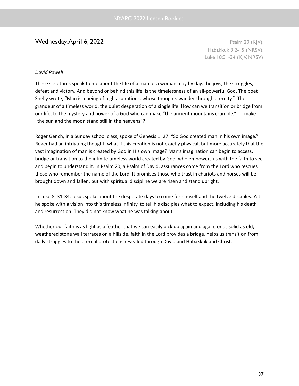# $\mathsf{Wednesday}, \mathsf{April} \; 6,2022$  Psalm 20 (KJV);

Habakkuk 3:2-15 (NRSV); Luke 18:31-34 (KJV, NRSV)

### *David Powell*

These scriptures speak to me about the life of a man or a woman, day by day, the joys, the struggles, defeat and victory. And beyond or behind this life, is the timelessness of an all-powerful God. The poet Shelly wrote, "Man is a being of high aspirations, whose thoughts wander through eternity." The grandeur of a timeless world; the quiet desperation of a single life. How can we transition or bridge from our life, to the mystery and power of a God who can make "the ancient mountains crumble," … make "the sun and the moon stand still in the heavens"?

Roger Gench, in a Sunday school class, spoke of Genesis 1: 27: "So God created man in his own image." Roger had an intriguing thought: what if this creation is not exactly physical, but more accurately that the vast imagination of man is created by God in His own image? Man's imagination can begin to access, bridge or transition to the infinite timeless world created by God, who empowers us with the faith to see and begin to understand it. In Psalm 20, a Psalm of David, assurances come from the Lord who rescues those who remember the name of the Lord. It promises those who trust in chariots and horses will be brought down and fallen, but with spiritual discipline we are risen and stand upright.

In Luke 8: 31-34, Jesus spoke about the desperate days to come for himself and the twelve disciples. Yet he spoke with a vision into this timeless infinity, to tell his disciples what to expect, including his death and resurrection. They did not know what he was talking about.

Whether our faith is as light as a feather that we can easily pick up again and again, or as solid as old, weathered stone wall terraces on a hillside, faith in the Lord provides a bridge, helps us transition from daily struggles to the eternal protections revealed through David and Habakkuk and Christ.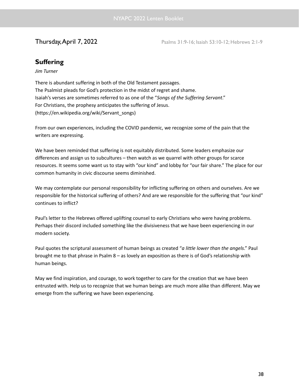**Thursday, April 7, 2022** Psalms 31:9-16; Isaiah 53:10-12; Hebrews 2:1-9

# **Suffering**

### *Jim Turner*

There is abundant suffering in both of the Old Testament passages. The Psalmist pleads for God's protection in the midst of regret and shame. Isaiah's verses are sometimes referred to as one of the "*Songs of the Suffering Servant*." For Christians, the prophesy anticipates the suffering of Jesus. (https://en.wikipedia.org/wiki/Servant\_songs)

From our own experiences, including the COVID pandemic, we recognize some of the pain that the writers are expressing.

We have been reminded that suffering is not equitably distributed. Some leaders emphasize our differences and assign us to subcultures – then watch as we quarrel with other groups for scarce resources. It seems some want us to stay with "our kind" and lobby for "our fair share." The place for our common humanity in civic discourse seems diminished.

We may contemplate our personal responsibility for inflicting suffering on others and ourselves. Are we responsible for the historical suffering of others? And are we responsible for the suffering that "our kind" continues to inflict?

Paul's letter to the Hebrews offered uplifting counsel to early Christians who were having problems. Perhaps their discord included something like the divisiveness that we have been experiencing in our modern society.

Paul quotes the scriptural assessment of human beings as created "*a little lower than the angels*." Paul brought me to that phrase in Psalm 8 – as lovely an exposition as there is of God's relationship with human beings.

May we find inspiration, and courage, to work together to care for the creation that we have been entrusted with. Help us to recognize that we human beings are much more alike than different. May we emerge from the suffering we have been experiencing.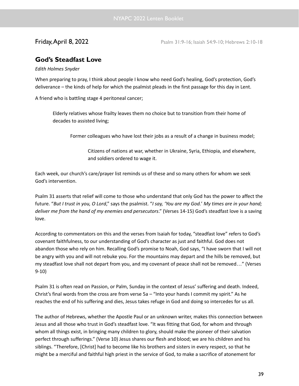**Friday, April 8, 2022** Psalm 31:9-16; Isaiah 54:9-10; Hebrews 2:10-18

# **God's Steadfast Love**

### *Edith Holmes Snyder*

When preparing to pray, I think about people I know who need God's healing, God's protection, God's deliverance – the kinds of help for which the psalmist pleads in the first passage for this day in Lent.

A friend who is battling stage 4 peritoneal cancer;

Elderly relatives whose frailty leaves them no choice but to transition from their home of decades to assisted living;

Former colleagues who have lost their jobs as a result of a change in business model;

Citizens of nations at war, whether in Ukraine, Syria, Ethiopia, and elsewhere, and soldiers ordered to wage it.

Each week, our church's care/prayer list reminds us of these and so many others for whom we seek God's intervention.

Psalm 31 asserts that relief will come to those who understand that only God has the power to affect the future. "But I trust in you, O Lord," says the psalmist. "I say, 'You are my God.' My times are in your hand; *deliver me from the hand of my enemies and persecutors*." (Verses 14-15) God's steadfast love is a saving love.

According to commentators on this and the verses from Isaiah for today, "steadfast love" refers to God's covenant faithfulness, to our understanding of God's character as just and faithful. God does not abandon those who rely on him. Recalling God's promise to Noah, God says, "I have sworn that I will not be angry with you and will not rebuke you. For the mountains may depart and the hills be removed, but my steadfast love shall not depart from you, and my covenant of peace shall not be removed…" (Verses 9-10)

Psalm 31 is often read on Passion, or Palm, Sunday in the context of Jesus' suffering and death. Indeed, Christ's final words from the cross are from verse 5a – "Into your hands I commit my spirit." As he reaches the end of his suffering and dies, Jesus takes refuge in God and doing so intercedes for us all.

The author of Hebrews, whether the Apostle Paul or an unknown writer, makes this connection between Jesus and all those who trust in God's steadfast love. "It was fitting that God, for whom and through whom all things exist, in bringing many children to glory, should make the pioneer of their salvation perfect through sufferings." (Verse 10) Jesus shares our flesh and blood; we are his children and his siblings. "Therefore, [Christ] had to become like his brothers and sisters in every respect, so that he might be a merciful and faithful high priest in the service of God, to make a sacrifice of atonement for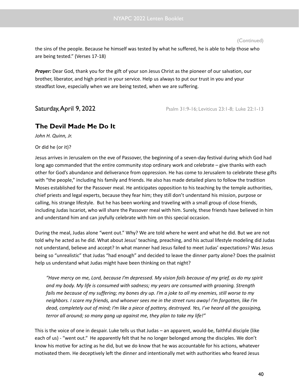the sins of the people. Because he himself was tested by what he suffered, he is able to help those who are being tested." (Verses 17-18)

*Prayer:* Dear God, thank you for the gift of your son Jesus Christ as the pioneer of our salvation, our brother, liberator, and high priest in your service. Help us always to put our trust in you and your steadfast love, especially when we are being tested, when we are suffering.

Saturday, April 9, 2022 **Psalm 31:9-16; Leviticus 23:1-8; Luke 22:1-13** 

# **The Devil Made Me Do It**

*John H. Quinn, Jr.*

Or did he (or it)?

Jesus arrives in Jerusalem on the eve of Passover, the beginning of a seven-day festival during which God had long ago commanded that the entire community stop ordinary work and celebrate – give thanks with each other for God's abundance and deliverance from oppression. He has come to Jerusalem to celebrate these gifts with "the people," including his family and friends. He also has made detailed plans to follow the tradition Moses established for the Passover meal. He anticipates opposition to his teaching by the temple authorities, chief priests and legal experts, because they fear him; they still don't understand his mission, purpose or calling, his strange lifestyle. But he has been working and traveling with a small group of close friends, including Judas Iscariot, who will share the Passover meal with him. Surely, these friends have believed in him and understand him and can joyfully celebrate with him on this special occasion.

During the meal, Judas alone "went out." Why? We are told where he went and what he did. But we are not told why he acted as he did. What about Jesus' teaching, preaching, and his actual lifestyle modeling did Judas not understand, believe and accept? In what manner had Jesus failed to meet Judas' expectations? Was Jesus being so "unrealistic" that Judas "had enough" and decided to leave the dinner party alone? Does the psalmist help us understand what Judas might have been thinking on that night?

"Have mercy on me, Lord, because I'm depressed. My vision fails because of my grief, as do my spirit *and my body. My life is consumed with sadness; my years are consumed with groaning. Strength* fails me because of my suffering; my bones dry up. I'm a joke to all my enemies, still worse to my neighbors. I scare my friends, and whoever sees me in the street runs away! I'm forgotten, like I'm dead, completely out of mind; I'm like a piece of pottery, destroyed. Yes, I've heard all the gossiping, *terror all around; so many gang up against me, they plan to take my life!"*

This is the voice of one in despair. Luke tells us that Judas – an apparent, would-be, faithful disciple (like each of us) - "went out." He apparently felt that he no longer belonged among the disciples. We don't know his motive for acting as he did, but we do know that he was accountable for his actions, whatever motivated them. He deceptively left the dinner and intentionally met with authorities who feared Jesus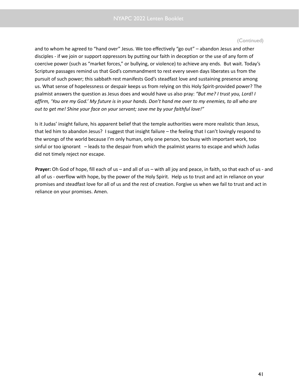and to whom he agreed to "hand over" Jesus. We too effectively "go out" – abandon Jesus and other disciples - if we join or support oppressors by putting our faith in deception or the use of any form of coercive power (such as "market forces," or bullying, or violence) to achieve any ends. But wait. Today's Scripture passages remind us that God's commandment to rest every seven days liberates us from the pursuit of such power; this sabbath rest manifests God's steadfast love and sustaining presence among us. What sense of hopelessness or despair keeps us from relying on this Holy Spirit-provided power? The psalmist answers the question as Jesus does and would have us also pray: *"But me? I trust you, Lord! I* affirm, 'You are my God.' My future is in your hands. Don't hand me over to my enemies, to all who are *out to get me! Shine your face on your servant; save me by your faithful love!"*

Is it Judas' insight failure, his apparent belief that the temple authorities were more realistic than Jesus, that led him to abandon Jesus? I suggest that insight failure – the feeling that I can't lovingly respond to the wrongs of the world because I'm only human, only one person, too busy with important work, too sinful or too ignorant – leads to the despair from which the psalmist yearns to escape and which Judas did not timely reject nor escape.

**Prayer:** Oh God of hope, fill each of us – and all of us – with all joy and peace, in faith, so that each of us - and all of us - overflow with hope, by the power of the Holy Spirit. Help us to trust and act in reliance on your promises and steadfast love for all of us and the rest of creation. Forgive us when we fail to trust and act in reliance on your promises. Amen.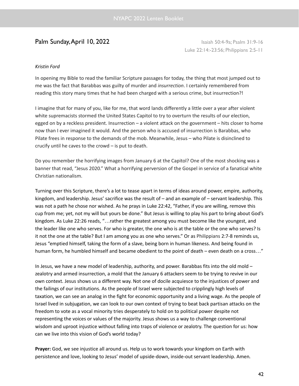# **Palm Sunday, April 10, 2022** Isaiah 50:4-9a; Psalm 31:9-16

Luke 22:14:-23:56; Philippians 2:5-11

### *Kristin Ford*

In opening my Bible to read the familiar Scripture passages for today, the thing that most jumped out to me was the fact that Barabbas was guilty of murder and *insurrection*. I certainly remembered from reading this story many times that he had been charged with a serious crime, but insurrection?!

I imagine that for many of you, like for me, that word lands differently a little over a year after violent white supremacists stormed the United States Capitol to try to overturn the results of our election, egged on by a reckless president. Insurrection – a violent attack on the government – hits closer to home now than I ever imagined it would. And the person who is accused of insurrection is Barabbas, who Pilate frees in response to the demands of the mob. Meanwhile, Jesus – who Pilate is disinclined to crucify until he caves to the crowd – is put to death.

Do you remember the horrifying images from January 6 at the Capitol? One of the most shocking was a banner that read, "Jesus 2020." What a horrifying perversion of the Gospel in service of a fanatical white Christian nationalism.

Turning over this Scripture, there's a lot to tease apart in terms of ideas around power, empire, authority, kingdom, and leadership. Jesus' sacrifice was the result of – and an example of – servant leadership. This was not a path he chose nor wished. As he prays in Luke 22:42, "Father, if you are willing, remove this cup from me; yet, not my will but yours be done." But Jesus is willing to play his part to bring about God's kingdom. As Luke 22:26 reads, "…rather the greatest among you must become like the youngest, and the leader like one who serves. For who is greater, the one who is at the table or the one who serves? Is it not the one at the table? But I am among you as one who serves." Or as Philippians 2:7-8 reminds us, Jesus "emptied himself, taking the form of a slave, being born in human likeness. And being found in human form, he humbled himself and became obedient to the point of death – even death on a cross…"

In Jesus, we have a new model of leadership, authority, and power. Barabbas fits into the old mold – zealotry and armed insurrection, a mold that the January 6 attackers seem to be trying to revive in our own context. Jesus shows us a different way. Not one of docile acquiesce to the injustices of power and the failings of our institutions. As the people of Israel were subjected to cripplingly high levels of taxation, we can see an analog in the fight for economic opportunity and a living wage. As the people of Israel lived in subjugation, we can look to our own context of trying to beat back partisan attacks on the freedom to vote as a vocal minority tries desperately to hold on to political power despite not representing the voices or values of the majority. Jesus shows us a way to challenge conventional wisdom and uproot injustice without falling into traps of violence or zealotry. The question for us: how can we live into this vision of God's world today?

**Prayer:** God, we see injustice all around us. Help us to work towards your kingdom on Earth with persistence and love, looking to Jesus' model of upside-down, inside-out servant leadership. Amen*.*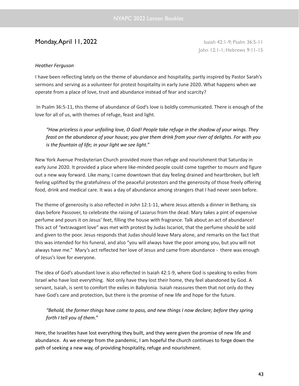# **Monday, April 11, 2022 Island 2:1-9; Psalm 36:5-11**

John 12:1-1; Hebrews 9:11-15

### *Heather Ferguson*

I have been reflecting lately on the theme of abundance and hospitality, partly inspired by Pastor Sarah's sermons and serving as a volunteer for protest hospitality in early June 2020. What happens when we operate from a place of love, trust and abundance instead of fear and scarcity?

In Psalm 36:5-11, this theme of abundance of God's love is boldly communicated. There is enough of the love for all of us, with themes of refuge, feast and light.

*"How priceless is your unfailing love, O God! People take refuge in the shadow of your wings. They* feast on the abundance of your house; you give them drink from your river of delights. For with you *is the fountain of life; in your light we see light."*

New York Avenue Presbyterian Church provided more than refuge and nourishment that Saturday in early June 2020. It provided a place where like-minded people could come together to mourn and figure out a new way forward. Like many, I came downtown that day feeling drained and heartbroken, but left feeling uplifted by the gratefulness of the peaceful protestors and the generosity of those freely offering food, drink and medical care. It was a day of abundance among strangers that I had never seen before.

The theme of generosity is also reflected in John 12:1-11, where Jesus attends a dinner in Bethany, six days before Passover, to celebrate the raising of Lazarus from the dead. Mary takes a pint of expensive perfume and pours it on Jesus' feet, filling the house with fragrance. Talk about an act of abundance! This act of "extravagant love" was met with protest by Judas Iscariot, that the perfume should be sold and given to the poor. Jesus responds that Judas should leave Mary alone, and remarks on the fact that this was intended for his funeral, and also "you will always have the poor among you, but you will not always have me." Mary's act reflected her love of Jesus and came from abundance - there was enough of Jesus's love for everyone.

The idea of God's abundant love is also reflected in Isaiah 42:1-9, where God is speaking to exiles from Israel who have lost everything. Not only have they lost their home, they feel abandoned by God. A servant, Isaiah, is sent to comfort the exiles in Babylonia. Isaiah reassures them that not only do they have God's care and protection, but there is the promise of new life and hope for the future.

*"Behold, the former things have come to pass, and new things I now declare; before they spring forth I tell you of them."*

Here, the Israelites have lost everything they built, and they were given the promise of new life and abundance. As we emerge from the pandemic, I am hopeful the church continues to forge down the path of seeking a new way, of providing hospitality, refuge and nourishment.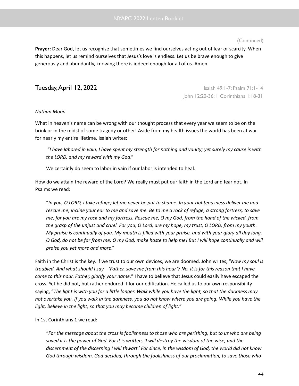**Prayer:** Dear God, let us recognize that sometimes we find ourselves acting out of fear or scarcity. When this happens, let us remind ourselves that Jesus's love is endless. Let us be brave enough to give generously and abundantly, knowing there is indeed enough for all of us. Amen.

**Tuesday, April 12, 2022 ISaiah 49:1-7; Psalm 71:1-14** John 12:20-36; 1 Corinthians 1:18-31

### *Nathan Moon*

What in heaven's name can be wrong with our thought process that every year we seem to be on the brink or in the midst of some tragedy or other! Aside from my health issues the world has been at war for nearly my entire lifetime. Isaiah writes:

"I have labored in vain, I have spent my strength for nothing and vanity; yet surely my cause is with *the LORD, and my reward with my God*."

We certainly do seem to labor in vain if our labor is intended to heal.

How do we attain the reward of the Lord? We really must put our faith in the Lord and fear not. In Psalms we read:

"In you, O LORD, I take refuge; let me never be put to shame. In your righteousness deliver me and rescue me; incline your ear to me and save me. Be to me a rock of refuge, a strong fortress, to save me, for you are my rock and my fortress. Rescue me, O my God, from the hand of the wicked, from the grasp of the unjust and cruel. For you, O Lord, are my hope, my trust, O LORD, from my youth. My praise is continually of you. My mouth is filled with your praise, and with your glory all day long. O God, do not be far from me; O my God, make haste to help me! But I will hope continually and will *praise you yet more and more*."

Faith in the Christ is the key. If we trust to our own devices, we are doomed. John writes, "*Now my soul is* troubled. And what should I say—'Father, save me from this hour'? No, it is for this reason that I have *come to this hour. Father, glorify your name.*" I have to believe that Jesus could easily have escaped the cross. Yet he did not, but rather endured it for our edification. He called us to our own responsibility saying, "The light is with you for a little longer. Walk while you have the light, so that the darkness may not overtake you. If you walk in the darkness, you do not know where you are going. While you have the *light, believe in the light, so that you may become children of light.*"

In 1st Corinthians 1 we read:

"For the message about the cross is foolishness to those who are perishing, but to us who are being saved it is the power of God. For it is written, 'I will destroy the wisdom of the wise, and the discernment of the discerning I will thwart.' For since, in the wisdom of God, the world did not know *God through wisdom, God decided, through the foolishness of our proclamation, to save those who*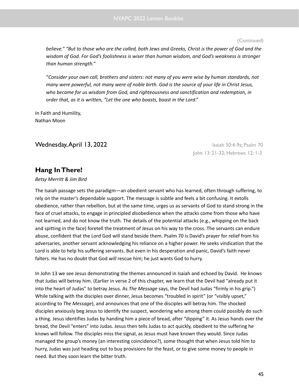believe." "But to those who are the called, both Jews and Greeks, Christ is the power of God and the *wisdom of God. For God's foolishness is wiser than human wisdom, and God's weakness is stronger than human strength.*"

"*Consider your own call, brothers and sisters: not many of you were wise by human standards, not* many were powerful, not many were of noble birth. God is the source of your life in Christ Jesus, *who became for us wisdom from God, and righteousness and sanctification and redemption, in order that, as it is written, "Let the one who boasts, boast in the Lord*."

In Faith and Humility, Nathan Moon

Wednesday,April 13, 2022 Isaiah 50:4-9a; Psalm 70

John 13: 21-32; Hebrews 12: 1-3

# **Hang InThere!**

### *Betsy Merritt & Jim Bird*

The Isaiah passage sets the paradigm—an obedient servant who has learned, often through suffering, to rely on the master's dependable support. The message is subtle and feels a bit confusing. It extolls obedience, rather than rebellion, but at the same time, urges us as servants of God to stand strong in the face of cruel attacks, to engage in principled *dis*obedience when the attacks come from those who have not learned, and do not know the truth. The details of the potential attacks (e.g., whipping on the back and spitting in the face) foretell the treatment of Jesus on his way to the cross. The servants can endure abuse, confident that the Lord God will stand beside them. Psalm 70 is David's prayer for relief from his adversaries, another servant acknowledging his reliance on a higher power. He seeks vindication that the Lord is able to help his suffering servants. But even in his desperation and panic, David's faith never falters. He has no doubt that God *will* rescue him; he just wants God to hurry.

In John 13 we see Jesus demonstrating the themes announced in Isaiah and echoed by David. He knows that Judas will betray him. (Earlier in verse 2 of this chapter, we learn that the Devil had "already put it into the heart of Judas" to betray Jesus. As *The Message* says, the Devil had Judas "firmly in his grip.") While talking with the disciples over dinner, Jesus becomes "troubled in spirit" (or "visibly upset," according to *The Message*), and announces that one of the disciples will betray him. The shocked disciples anxiously beg Jesus to identify the suspect, wondering who among them could possibly do such a thing. Jesus identifies Judas by handing him a piece of bread, after "dipping" it. As Jesus hands over the bread, the Devil "enters" into Judas. Jesus then tells Judas to act quickly, obedient to the suffering he knows will follow. The disciples miss the signal, as Jesus must have known they would. Since Judas managed the group's money (an interesting coincidence?), some thought that when Jesus told him to hurry, Judas was just heading out to buy provisions for the feast, or to give some money to people in need. But they soon learn the bitter truth.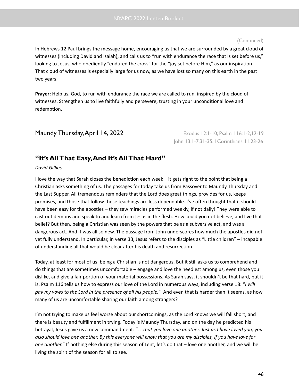In Hebrews 12 Paul brings the message home, encouraging us that we are surrounded by a great cloud of witnesses (including David and Isaiah), and calls us to "run with endurance the race that is set before us," looking to Jesus, who obediently "endured the cross" for the "joy set before Him," as our inspiration. That cloud of witnesses is especially large for us now, as we have lost so many on this earth in the past two years.

**Prayer:** Help us, God, to run with endurance the race we are called to run, inspired by the cloud of witnesses. Strengthen us to live faithfully and persevere, trusting in your unconditional love and redemption.

# **Maundy Thursday, April 14, 2022** Exodus 12:1-10; Psalm 116:1-2, 12-19

John 13:1-7,31-35; 1Corinthians 11:23-26

# **"It's AllThat Easy,And It's AllThat Hard"**

### *David Gillies*

I love the way that Sarah closes the benediction each week – it gets right to the point that being a Christian asks something of us. The passages for today take us from Passover to Maundy Thursday and the Last Supper. All tremendous reminders that the Lord does great things, provides for us, keeps promises, and those that follow these teachings are less dependable. I've often thought that it should have been easy for the apostles – they saw miracles performed weekly, if not daily! They were able to cast out demons and speak to and learn from Jesus in the flesh. How could you not believe, and live that belief? But then, being a Christian was seen by the powers that be as a subversive act, and was a dangerous act. And it was all so new. The passage from John underscores how much the apostles did not yet fully understand. In particular, in verse 33, Jesus refers to the disciples as "Little children" – incapable of understanding all that would be clear after his death and resurrection.

Today, at least for most of us, being a Christian is not dangerous. But it still asks us to comprehend and do things that are sometimes uncomfortable – engage and love the neediest among us, even those you dislike, and give a fair portion of your material possessions. As Sarah says, it shouldn't be that hard, but it is. Psalm 116 tells us how to express our love of the Lord in numerous ways, including verse 18: "*I will pay my vows to the Lord in the presence of all his people.*" And even that is harder than it seems, as how many of us are uncomfortable sharing our faith among strangers?

I'm not trying to make us feel worse about our shortcomings, as the Lord knows we will fall short, and there is beauty and fulfillment in trying. Today is Maundy Thursday, and on the day he predicted his betrayal, Jesus gave us a new commandment: "…*that you love one another. Just as I have loved you, you* also should love one another. By this everyone will know that you are my disciples, if you have love for *one another.*" If nothing else during this season of Lent, let's do that – love one another, and we will be living the spirit of the season for all to see.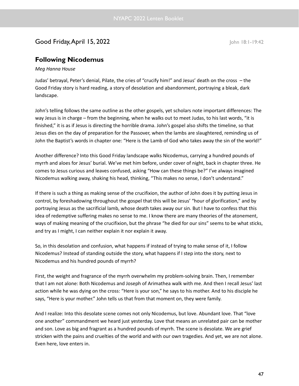# Good Friday, April 15, 2022 John 18:1-19:42

# **Following Nicodemus**

### *Meg Hanna House*

Judas' betrayal, Peter's denial, Pilate, the cries of "crucify him!" and Jesus' death on the cross – the Good Friday story is hard reading, a story of desolation and abandonment, portraying a bleak, dark landscape.

John's telling follows the same outline as the other gospels, yet scholars note important differences: The way Jesus is in charge – from the beginning, when he walks out to meet Judas, to his last words, "it is finished," it is as if Jesus is directing the horrible drama. John's gospel also shifts the timeline, so that Jesus dies on the day of preparation for the Passover, when the lambs are slaughtered, reminding us of John the Baptist's words in chapter one: "Here is the Lamb of God who takes away the sin of the world!"

Another difference? Into this Good Friday landscape walks Nicodemus, carrying a hundred pounds of myrrh and aloes for Jesus' burial. We've met him before, under cover of night, back in chapter three. He comes to Jesus curious and leaves confused, asking "How can these things be?" I've always imagined Nicodemus walking away, shaking his head, thinking, "This makes no sense, I don't understand."

If there is such a thing as making sense of the crucifixion, the author of John does it by putting Jesus in control, by foreshadowing throughout the gospel that this will be Jesus' "hour of glorification," and by portraying Jesus as the sacrificial lamb, whose death takes away our sin. But I have to confess that this idea of redemptive suffering makes no sense to me. I know there are many theories of the atonement, ways of making meaning of the crucifixion, but the phrase "he died for our sins" seems to be what sticks, and try as I might, I can neither explain it nor explain it away.

So, in this desolation and confusion, what happens if instead of trying to make sense of it, I follow Nicodemus? Instead of standing outside the story, what happens if I step into the story, next to Nicodemus and his hundred pounds of myrrh?

First, the weight and fragrance of the myrrh overwhelm my problem-solving brain. Then, I remember that I am not alone: Both Nicodemus and Joseph of Arimathea walk with me. And then I recall Jesus' last action while he was dying on the cross: "Here is your son," he says to his mother. And to his disciple he says, "Here is your mother." John tells us that from that moment on, they were family.

And I realize: Into this desolate scene comes not only Nicodemus, but love. Abundant love. That "love one another" commandment we heard just yesterday. Love that means an unrelated pair can be mother and son. Love as big and fragrant as a hundred pounds of myrrh. The scene is desolate. We are grief stricken with the pains and cruelties of the world and with our own tragedies. And yet, we are not alone. Even here, love enters in.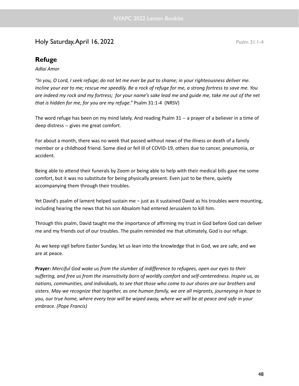# Holy Saturday, April 16, 2022 **Psalm 31:1-4**

# **Refuge**

### *Adlai Amor*

"In you, O Lord, I seek refuge; do not let me ever be put to shame; in your righteousness deliver me. Incline your ear to me; rescue me speedily. Be a rock of refuge for me, a strong fortress to save me. You are indeed my rock and my fortress; for your name's sake lead me and guide me, take me out of the net *that is hidden for me, for you are my refuge."* Psalm 31:1-4 (NRSV)

The word refuge has been on my mind lately. And reading Psalm 31 -- a prayer of a believer in a time of deep distress -- gives me great comfort.

For about a month, there was no week that passed without news of the illness or death of a family member or a childhood friend. Some died or fell ill of COVID-19, others due to cancer, pneumonia, or accident.

Being able to attend their funerals by Zoom or being able to help with their medical bills gave me some comfort, but it was no substitute for being physically present. Even just to be there, quietly accompanying them through their troubles.

Yet David's psalm of lament helped sustain me – just as it sustained David as his troubles were mounting, including hearing the news that his son Absalom had entered Jerusalem to kill him.

Through this psalm, David taught me the importance of affirming my trust in God before God can deliver me and my friends out of our troubles. The psalm reminded me that ultimately, God is our refuge.

As we keep vigil before Easter Sunday, let us lean into the knowledge that in God, we are safe, and we are at peace.

**Prayer:** *Merciful God wake us from the slumber of indifference to refugees, open our eyes to their suffering, and free us from the insensitivity born of worldly comfort and self-centeredness. Inspire us, as nations, communities, and individuals, to see that those who come to our shores are our brothers and* sisters. May we recognize that together, as one human family, we are all migrants, journeying in hope to you, our true home, where every tear will be wiped away, where we will be at peace and safe in your *embrace. (Pope Francis)*